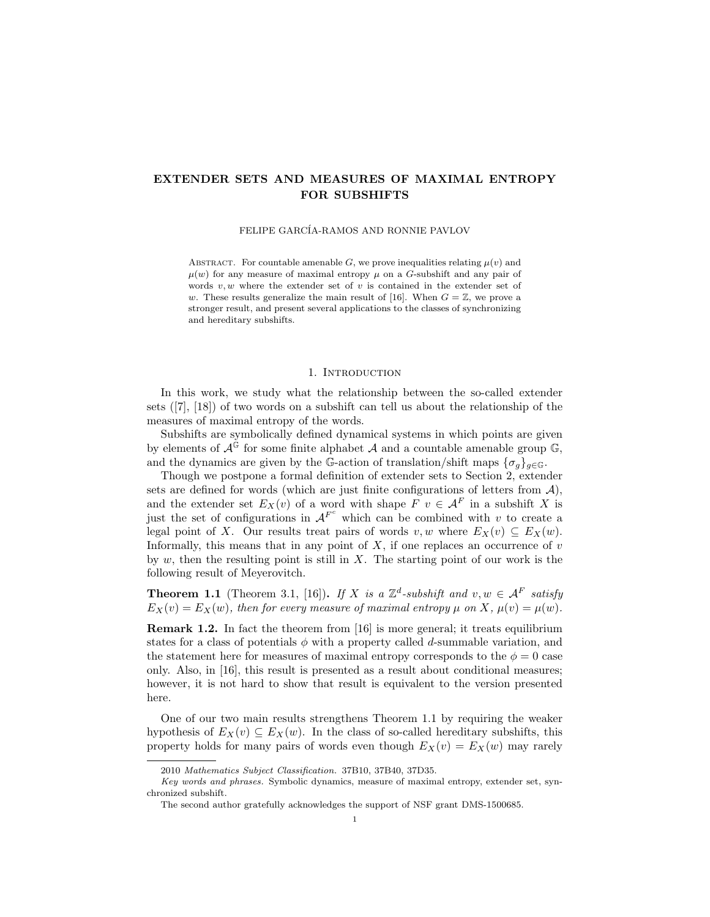# EXTENDER SETS AND MEASURES OF MAXIMAL ENTROPY FOR SUBSHIFTS

FELIPE GARCÍA-RAMOS AND RONNIE PAVLOV

ABSTRACT. For countable amenable  $G$ , we prove inequalities relating  $\mu(v)$  and  $\mu(w)$  for any measure of maximal entropy  $\mu$  on a G-subshift and any pair of words  $v, w$  where the extender set of  $v$  is contained in the extender set of w. These results generalize the main result of [16]. When  $G = \mathbb{Z}$ , we prove a stronger result, and present several applications to the classes of synchronizing and hereditary subshifts.

#### 1. INTRODUCTION

In this work, we study what the relationship between the so-called extender sets ([7], [18]) of two words on a subshift can tell us about the relationship of the measures of maximal entropy of the words.

Subshifts are symbolically defined dynamical systems in which points are given by elements of  $\mathcal{A}^{\mathbb{G}}$  for some finite alphabet  $\mathcal A$  and a countable amenable group  $\mathbb{G}$ , and the dynamics are given by the G-action of translation/shift maps  $\{\sigma_g\}_{g\in\mathbb{G}}$ .

Though we postpone a formal definition of extender sets to Section 2, extender sets are defined for words (which are just finite configurations of letters from  $A$ ), and the extender set  $E_X(v)$  of a word with shape  $\overline{F}$   $v \in \mathcal{A}^F$  in a subshift X is just the set of configurations in  $A^{F^c}$  which can be combined with v to create a legal point of X. Our results treat pairs of words  $v, w$  where  $E_X(v) \subseteq E_X(w)$ . Informally, this means that in any point of  $X$ , if one replaces an occurrence of  $v$ by  $w$ , then the resulting point is still in  $X$ . The starting point of our work is the following result of Meyerovitch.

**Theorem 1.1** (Theorem 3.1, [16]). If X is a  $\mathbb{Z}^d$ -subshift and  $v, w \in \mathcal{A}^F$  satisfy  $E_X(v) = E_X(w)$ , then for every measure of maximal entropy  $\mu$  on X,  $\mu(v) = \mu(w)$ .

Remark 1.2. In fact the theorem from [16] is more general; it treats equilibrium states for a class of potentials  $\phi$  with a property called d-summable variation, and the statement here for measures of maximal entropy corresponds to the  $\phi = 0$  case only. Also, in [16], this result is presented as a result about conditional measures; however, it is not hard to show that result is equivalent to the version presented here.

One of our two main results strengthens Theorem 1.1 by requiring the weaker hypothesis of  $E_X(v) \subseteq E_X(w)$ . In the class of so-called hereditary subshifts, this property holds for many pairs of words even though  $E_X(v) = E_X(w)$  may rarely

<sup>2010</sup> Mathematics Subject Classification. 37B10, 37B40, 37D35.

Key words and phrases. Symbolic dynamics, measure of maximal entropy, extender set, synchronized subshift.

The second author gratefully acknowledges the support of NSF grant DMS-1500685.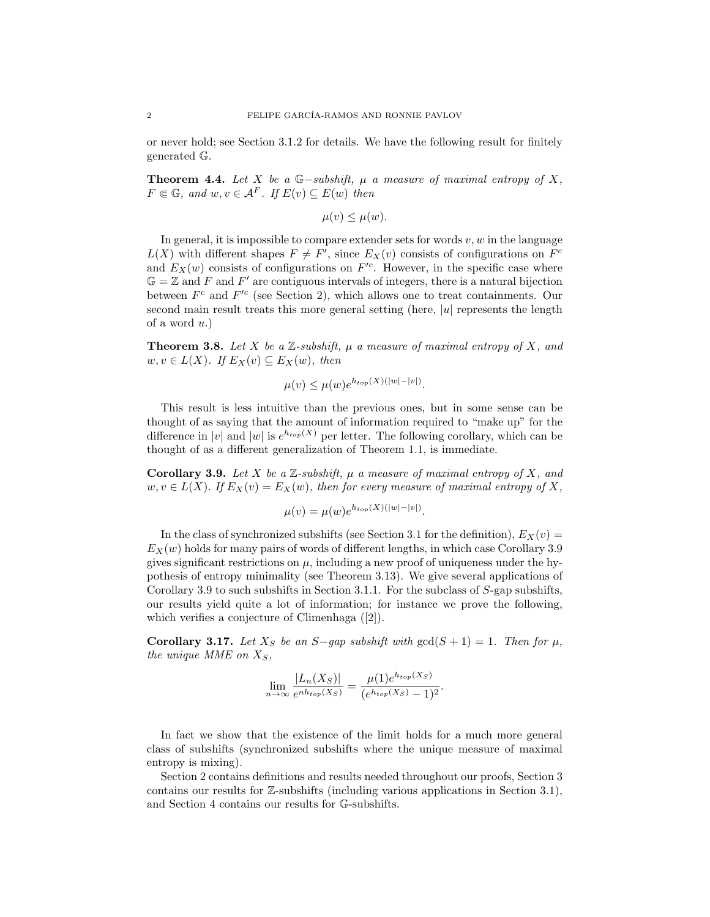or never hold; see Section 3.1.2 for details. We have the following result for finitely generated G.

**Theorem 4.4.** Let X be a  $\mathbb{G}-subshift$ ,  $\mu$  a measure of maximal entropy of X,  $F \in \mathbb{G}$ , and  $w, v \in \mathcal{A}^F$ . If  $E(v) \subseteq E(w)$  then

$$
\mu(v) \leq \mu(w).
$$

In general, it is impossible to compare extender sets for words  $v, w$  in the language  $L(X)$  with different shapes  $F \neq F'$ , since  $E_X(v)$  consists of configurations on  $F^c$ and  $E_X(w)$  consists of configurations on  $F^{\prime c}$ . However, in the specific case where  $\mathbb{G} = \mathbb{Z}$  and F and F' are contiguous intervals of integers, there is a natural bijection between  $F^c$  and  $F'^c$  (see Section 2), which allows one to treat containments. Our second main result treats this more general setting (here,  $|u|$  represents the length of a word  $u$ .)

**Theorem 3.8.** Let X be a Z-subshift,  $\mu$  a measure of maximal entropy of X, and  $w, v \in L(X)$ . If  $E_X(v) \subseteq E_X(w)$ , then

$$
\mu(v) \le \mu(w) e^{h_{top}(X)(|w|-|v|)}.
$$

This result is less intuitive than the previous ones, but in some sense can be thought of as saying that the amount of information required to "make up" for the difference in |v| and |w| is  $e^{h_{top}(X)}$  per letter. The following corollary, which can be thought of as a different generalization of Theorem 1.1, is immediate.

**Corollary 3.9.** Let X be a  $\mathbb{Z}$ -subshift,  $\mu$  a measure of maximal entropy of X, and  $w, v \in L(X)$ . If  $E_X(v) = E_X(w)$ , then for every measure of maximal entropy of X,

$$
\mu(v) = \mu(w)e^{h_{top}(X)(|w|-|v|)}.
$$

In the class of synchronized subshifts (see Section 3.1 for the definition),  $E_X(v)$  =  $E_X(w)$  holds for many pairs of words of different lengths, in which case Corollary 3.9 gives significant restrictions on  $\mu$ , including a new proof of uniqueness under the hypothesis of entropy minimality (see Theorem 3.13). We give several applications of Corollary 3.9 to such subshifts in Section 3.1.1. For the subclass of S-gap subshifts, our results yield quite a lot of information; for instance we prove the following, which verifies a conjecture of Climenhaga ([2]).

Corollary 3.17. Let  $X_S$  be an S−gap subshift with  $gcd(S + 1) = 1$ . Then for  $\mu$ , the unique MME on  $X_S$ ,

$$
\lim_{n \to \infty} \frac{|L_n(X_S)|}{e^{nh_{top}(X_S)}} = \frac{\mu(1)e^{h_{top}(X_S)}}{(e^{h_{top}(X_S)} - 1)^2}.
$$

In fact we show that the existence of the limit holds for a much more general class of subshifts (synchronized subshifts where the unique measure of maximal entropy is mixing).

Section 2 contains definitions and results needed throughout our proofs, Section 3 contains our results for Z-subshifts (including various applications in Section 3.1), and Section 4 contains our results for G-subshifts.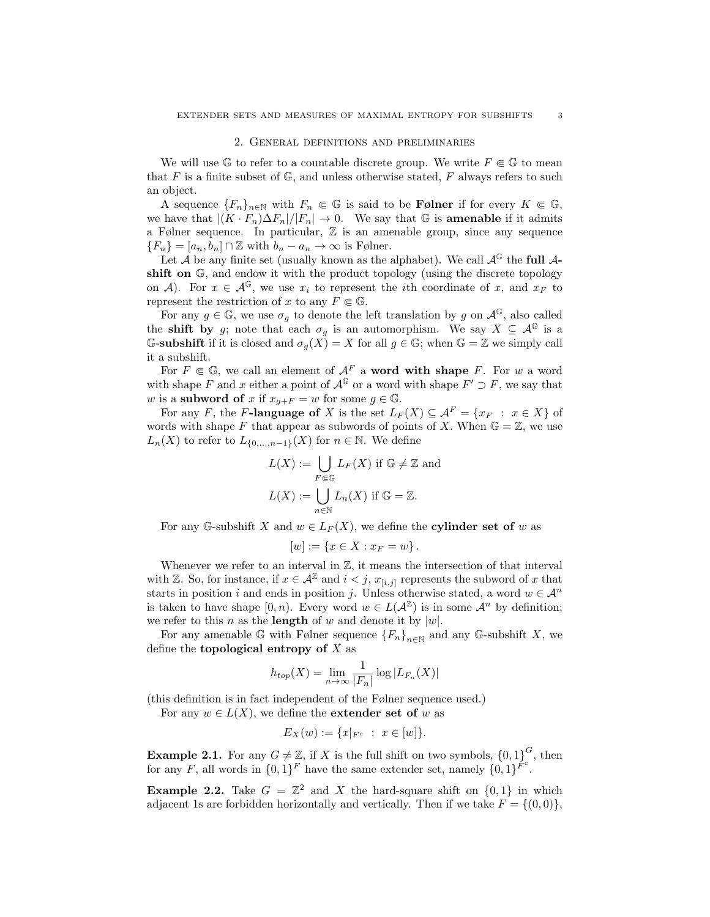### 2. General definitions and preliminaries

We will use G to refer to a countable discrete group. We write  $F \in \mathbb{G}$  to mean that F is a finite subset of  $\mathbb{G}$ , and unless otherwise stated, F always refers to such an object.

A sequence  ${F_n}_{n \in \mathbb{N}}$  with  $F_n \in \mathbb{G}$  is said to be **Følner** if for every  $K \in \mathbb{G}$ , we have that  $|(K \cdot F_n) \Delta F_n|/|F_n| \to 0$ . We say that G is **amenable** if it admits a Følner sequence. In particular, Z is an amenable group, since any sequence  ${F_n} = [a_n, b_n] \cap \mathbb{Z}$  with  $b_n - a_n \to \infty$  is Følner.

Let  $\mathcal A$  be any finite set (usually known as the alphabet). We call  $\mathcal A^{\mathbb G}$  the full  $\mathcal A$ shift on  $\mathbb{G}$ , and endow it with the product topology (using the discrete topology on A). For  $x \in \mathcal{A}^{\mathbb{G}}$ , we use  $x_i$  to represent the *i*th coordinate of x, and  $x_F$  to represent the restriction of x to any  $F \in \mathbb{G}$ .

For any  $g \in \mathbb{G}$ , we use  $\sigma_q$  to denote the left translation by g on  $\mathcal{A}^{\mathbb{G}}$ , also called the **shift by** g; note that each  $\sigma_g$  is an automorphism. We say  $X \subseteq \mathcal{A}^{\mathbb{G}}$  is a G-subshift if it is closed and  $\sigma_g(X) = X$  for all  $g \in \mathbb{G}$ ; when  $\mathbb{G} = \mathbb{Z}$  we simply call it a subshift.

For  $F \in \mathbb{G}$ , we call an element of  $\mathcal{A}^F$  a **word with shape** F. For w a word with shape F and x either a point of  $\mathcal{A}^{\mathbb{G}}$  or a word with shape  $F' \supset F$ , we say that w is a subword of x if  $x_{q+F} = w$  for some  $q \in \mathbb{G}$ .

For any F, the F-language of X is the set  $L_F(X) \subseteq \mathcal{A}^F = \{x_F : x \in X\}$  of words with shape F that appear as subwords of points of X. When  $\mathbb{G} = \mathbb{Z}$ , we use  $L_n(X)$  to refer to  $L_{\{0,\ldots,n-1\}}(X)$  for  $n \in \mathbb{N}$ . We define

$$
L(X) := \bigcup_{F \in \mathbb{G}} L_F(X) \text{ if } \mathbb{G} \neq \mathbb{Z} \text{ and}
$$

$$
L(X) := \bigcup_{n \in \mathbb{N}} L_n(X) \text{ if } \mathbb{G} = \mathbb{Z}.
$$

For any G-subshift X and  $w \in L_F(X)$ , we define the **cylinder set of** w as

$$
[w] := \{ x \in X : x_F = w \}.
$$

Whenever we refer to an interval in  $\mathbb{Z}$ , it means the intersection of that interval with Z. So, for instance, if  $x \in \mathcal{A}^{\mathbb{Z}}$  and  $i < j$ ,  $x_{[i,j]}$  represents the subword of x that starts in position i and ends in position j. Unless otherwise stated, a word  $w \in \mathcal{A}^n$ is taken to have shape  $[0, n)$ . Every word  $w \in L(\mathcal{A}^\mathbb{Z})$  is in some  $\mathcal{A}^n$  by definition; we refer to this *n* as the **length** of *w* and denote it by  $|w|$ .

For any amenable G with Følner sequence  ${F_n}_{n\in\mathbb{N}}$  and any G-subshift X, we define the **topological entropy of**  $X$  as

$$
h_{top}(X) = \lim_{n \to \infty} \frac{1}{|F_n|} \log |L_{F_n}(X)|
$$

(this definition is in fact independent of the Følner sequence used.)

For any  $w \in L(X)$ , we define the **extender set of** w as

$$
E_X(w) := \{x|_{F^c} : x \in [w]\}.
$$

**Example 2.1.** For any  $G \neq \mathbb{Z}$ , if X is the full shift on two symbols,  $\{0,1\}^G$ , then for any F, all words in  $\{0,1\}^F$  have the same extender set, namely  $\{0,1\}^{\tilde{F}^c}$ .

**Example 2.2.** Take  $G = \mathbb{Z}^2$  and X the hard-square shift on  $\{0, 1\}$  in which adjacent 1s are forbidden horizontally and vertically. Then if we take  $F = \{(0, 0)\}\,$ ,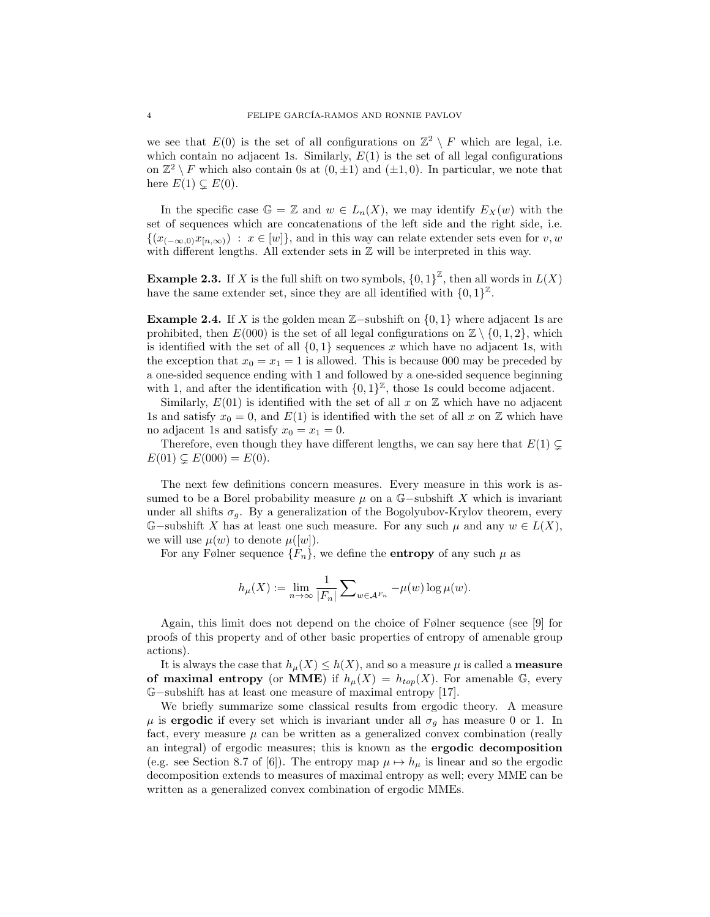we see that  $E(0)$  is the set of all configurations on  $\mathbb{Z}^2 \setminus F$  which are legal, i.e. which contain no adjacent 1s. Similarly,  $E(1)$  is the set of all legal configurations on  $\mathbb{Z}^2 \setminus F$  which also contain 0s at  $(0, \pm 1)$  and  $(\pm 1, 0)$ . In particular, we note that here  $E(1) \subsetneq E(0)$ .

In the specific case  $\mathbb{G} = \mathbb{Z}$  and  $w \in L_n(X)$ , we may identify  $E_X(w)$  with the set of sequences which are concatenations of the left side and the right side, i.e.  $\{(x_{(-\infty,0)}x_{[n,\infty)}) : x \in [w]\},$  and in this way can relate extender sets even for v, w with different lengths. All extender sets in  $\mathbb Z$  will be interpreted in this way.

**Example 2.3.** If X is the full shift on two symbols,  $\{0,1\}^{\mathbb{Z}}$ , then all words in  $L(X)$ have the same extender set, since they are all identified with  $\{0,1\}^{\mathbb{Z}}$ .

**Example 2.4.** If X is the golden mean  $\mathbb{Z}-$ subshift on {0, 1} where adjacent 1s are prohibited, then  $E(000)$  is the set of all legal configurations on  $\mathbb{Z} \setminus \{0, 1, 2\}$ , which is identified with the set of all  $\{0,1\}$  sequences x which have no adjacent 1s, with the exception that  $x_0 = x_1 = 1$  is allowed. This is because 000 may be preceded by a one-sided sequence ending with 1 and followed by a one-sided sequence beginning with 1, and after the identification with  $\{0,1\}^{\mathbb{Z}}$ , those 1s could become adjacent.

Similarly,  $E(01)$  is identified with the set of all x on  $\mathbb Z$  which have no adjacent 1s and satisfy  $x_0 = 0$ , and  $E(1)$  is identified with the set of all x on Z which have no adjacent 1s and satisfy  $x_0 = x_1 = 0$ .

Therefore, even though they have different lengths, we can say here that  $E(1) \subsetneq$  $E(01) \subsetneq E(000) = E(0).$ 

The next few definitions concern measures. Every measure in this work is assumed to be a Borel probability measure  $\mu$  on a G-subshift X which is invariant under all shifts  $\sigma_q$ . By a generalization of the Bogolyubov-Krylov theorem, every G–subshift X has at least one such measure. For any such  $\mu$  and any  $w \in L(X)$ , we will use  $\mu(w)$  to denote  $\mu([w])$ .

For any Følner sequence  $\{F_n\}$ , we define the **entropy** of any such  $\mu$  as

$$
h_{\mu}(X) := \lim_{n \to \infty} \frac{1}{|F_n|} \sum_{w \in \mathcal{A}^{F_n}} -\mu(w) \log \mu(w).
$$

Again, this limit does not depend on the choice of Følner sequence (see [9] for proofs of this property and of other basic properties of entropy of amenable group actions).

It is always the case that  $h_\mu(X) \leq h(X)$ , and so a measure  $\mu$  is called a **measure** of maximal entropy (or MME) if  $h_{\mu}(X) = h_{top}(X)$ . For amenable G, every G−subshift has at least one measure of maximal entropy [17].

We briefly summarize some classical results from ergodic theory. A measure  $\mu$  is ergodic if every set which is invariant under all  $\sigma_q$  has measure 0 or 1. In fact, every measure  $\mu$  can be written as a generalized convex combination (really an integral) of ergodic measures; this is known as the ergodic decomposition (e.g. see Section 8.7 of [6]). The entropy map  $\mu \mapsto h_{\mu}$  is linear and so the ergodic decomposition extends to measures of maximal entropy as well; every MME can be written as a generalized convex combination of ergodic MMEs.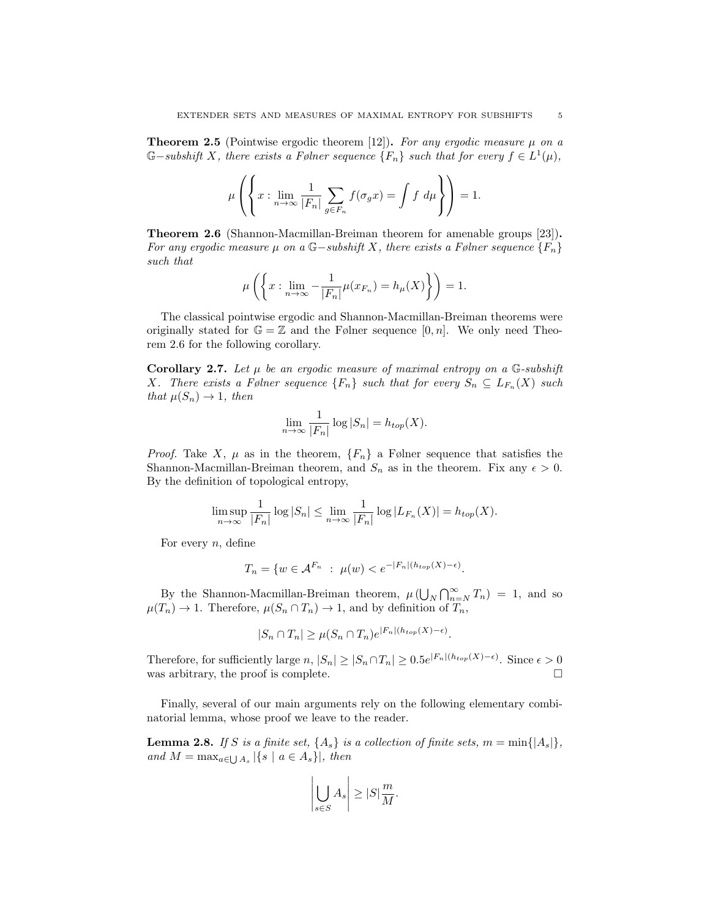**Theorem 2.5** (Pointwise ergodic theorem [12]). For any ergodic measure  $\mu$  on a  $\mathbb{G}-subshift\ X,$  there exists a Følner sequence  $\{F_n\}$  such that for every  $f\in L^1(\mu)$ ,

$$
\mu\left(\left\{x:\lim_{n\to\infty}\frac{1}{|F_n|}\sum_{g\in F_n}f(\sigma_gx)=\int f\ d\mu\right\}\right)=1.
$$

Theorem 2.6 (Shannon-Macmillan-Breiman theorem for amenable groups [23]). For any ergodic measure  $\mu$  on a G-subshift X, there exists a Følner sequence  $\{F_n\}$ such that

$$
\mu\left(\left\{x:\lim_{n\to\infty}-\frac{1}{|F_n|}\mu(x_{F_n})=h_\mu(X)\right\}\right)=1.
$$

The classical pointwise ergodic and Shannon-Macmillan-Breiman theorems were originally stated for  $\mathbb{G} = \mathbb{Z}$  and the Følner sequence  $[0, n]$ . We only need Theorem 2.6 for the following corollary.

**Corollary 2.7.** Let  $\mu$  be an ergodic measure of maximal entropy on a G-subshift X. There exists a Følner sequence  $\{F_n\}$  such that for every  $S_n \subseteq L_{F_n}(X)$  such that  $\mu(S_n) \to 1$ , then

$$
\lim_{n \to \infty} \frac{1}{|F_n|} \log |S_n| = h_{top}(X).
$$

*Proof.* Take X,  $\mu$  as in the theorem,  $\{F_n\}$  a Følner sequence that satisfies the Shannon-Macmillan-Breiman theorem, and  $S_n$  as in the theorem. Fix any  $\epsilon > 0$ . By the definition of topological entropy,

$$
\limsup_{n\to\infty}\frac{1}{|F_n|}\log|S_n|\leq \lim_{n\to\infty}\frac{1}{|F_n|}\log|L_{F_n}(X)|=h_{top}(X).
$$

For every  $n$ , define

$$
T_n = \{ w \in \mathcal{A}^{F_n} \; : \; \mu(w) < e^{-|F_n|(h_{top}(X) - \epsilon)}.
$$

By the Shannon-Macmillan-Breiman theorem,  $\mu(\bigcup_N \bigcap_{n=N}^{\infty} T_n) = 1$ , and so  $\mu(T_n) \to 1$ . Therefore,  $\mu(S_n \cap T_n) \to 1$ , and by definition of  $T_n$ ,

$$
|S_n \cap T_n| \ge \mu(S_n \cap T_n) e^{|F_n|(h_{top}(X) - \epsilon)}.
$$

Therefore, for sufficiently large  $n, |S_n| \geq |S_n \cap T_n| \geq 0.5e^{|F_n|(h_{top}(X) - \epsilon)}$ . Since  $\epsilon > 0$ was arbitrary, the proof is complete.  $\Box$ 

Finally, several of our main arguments rely on the following elementary combinatorial lemma, whose proof we leave to the reader.

**Lemma 2.8.** If S is a finite set,  $\{A_s\}$  is a collection of finite sets,  $m = \min\{|A_s|\},$ and  $M = \max_{a \in \bigcup A_s} |\{s \mid a \in A_s\}|$ , then

$$
\left|\bigcup_{s\in S}A_s\right|\geq |S|\frac{m}{M}.
$$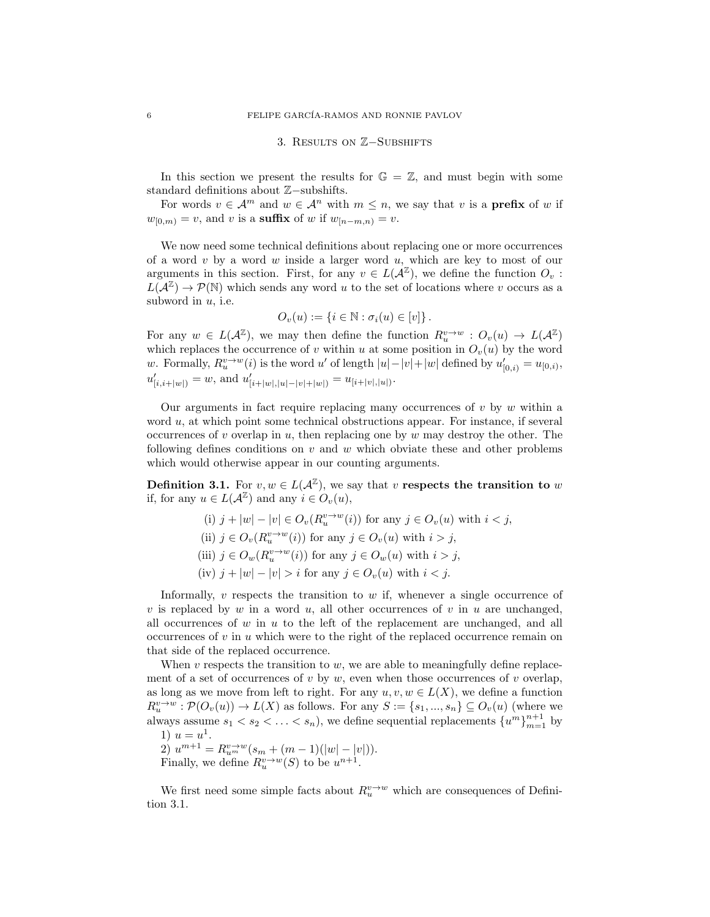## 3. Results on Z−Subshifts

In this section we present the results for  $\mathbb{G} = \mathbb{Z}$ , and must begin with some standard definitions about Z−subshifts.

For words  $v \in \mathcal{A}^m$  and  $w \in \mathcal{A}^n$  with  $m \leq n$ , we say that v is a **prefix** of w if  $w_{[0,m)} = v$ , and v is a suffix of w if  $w_{[n-m,n]} = v$ .

We now need some technical definitions about replacing one or more occurrences of a word v by a word w inside a larger word u, which are key to most of our arguments in this section. First, for any  $v \in L(A^{\mathbb{Z}})$ , we define the function  $O_v$ :  $L(\mathcal{A}^{\mathbb{Z}}) \to \mathcal{P}(\mathbb{N})$  which sends any word u to the set of locations where v occurs as a subword in  $u$ , i.e.

$$
O_v(u) := \{ i \in \mathbb{N} : \sigma_i(u) \in [v] \}.
$$

For any  $w \in L(\mathcal{A}^\mathbb{Z})$ , we may then define the function  $R_u^{v \to w} : O_v(u) \to L(\mathcal{A}^\mathbb{Z})$ which replaces the occurrence of v within u at some position in  $O_v(u)$  by the word w. Formally,  $R_u^{v\to w}(i)$  is the word u' of length  $|u| - |v| + |w|$  defined by  $u'_{[0,i)} = u_{[0,i)}$ ,  $u'_{[i,i+|w|)} = w$ , and  $u'_{[i+|w|,|u|-|v|+|w|)} = u_{[i+|v|,|u|)}$ .

Our arguments in fact require replacing many occurrences of  $v$  by  $w$  within a word u, at which point some technical obstructions appear. For instance, if several occurrences of v overlap in u, then replacing one by  $w$  may destroy the other. The following defines conditions on  $v$  and  $w$  which obviate these and other problems which would otherwise appear in our counting arguments.

**Definition 3.1.** For  $v, w \in L(\mathcal{A}^{\mathbb{Z}})$ , we say that v respects the transition to w if, for any  $u \in L(\mathcal{A}^\mathbb{Z})$  and any  $i \in O_v(u)$ ,

> (i)  $j + |w| - |v| \in O_v(R_u^{v \to w}(i))$  for any  $j \in O_v(u)$  with  $i < j$ , (ii)  $j \in O_v(R_u^{v \to w}(i))$  for any  $j \in O_v(u)$  with  $i > j$ , (iii)  $j \in O_w(R_u^{v \to w}(i))$  for any  $j \in O_w(u)$  with  $i > j$ , (iv)  $j + |w| - |v| > i$  for any  $j \in O_v(u)$  with  $i < j$ .

Informally,  $v$  respects the transition to  $w$  if, whenever a single occurrence of v is replaced by w in a word u, all other occurrences of v in u are unchanged, all occurrences of  $w$  in  $u$  to the left of the replacement are unchanged, and all occurrences of  $v$  in  $u$  which were to the right of the replaced occurrence remain on that side of the replaced occurrence.

When  $v$  respects the transition to  $w$ , we are able to meaningfully define replacement of a set of occurrences of v by w, even when those occurrences of v overlap, as long as we move from left to right. For any  $u, v, w \in L(X)$ , we define a function  $R_u^{v\to w} : \mathcal{P}(O_v(u)) \to L(X)$  as follows. For any  $S := \{s_1, ..., s_n\} \subseteq O_v(u)$  (where we always assume  $s_1 < s_2 < \ldots < s_n$ ), we define sequential replacements  $\{u^m\}_{m=1}^{n+1}$  by 1)  $u = u^1$ . 2)  $u^{m+1} = R_{u^m}^{v \to w}(s_m + (m-1)(|w| - |v|)).$ 

Finally, we define  $R_u^{v\to w}(S)$  to be  $u^{n+1}$ .

We first need some simple facts about  $R_u^{v \to w}$  which are consequences of Definition 3.1.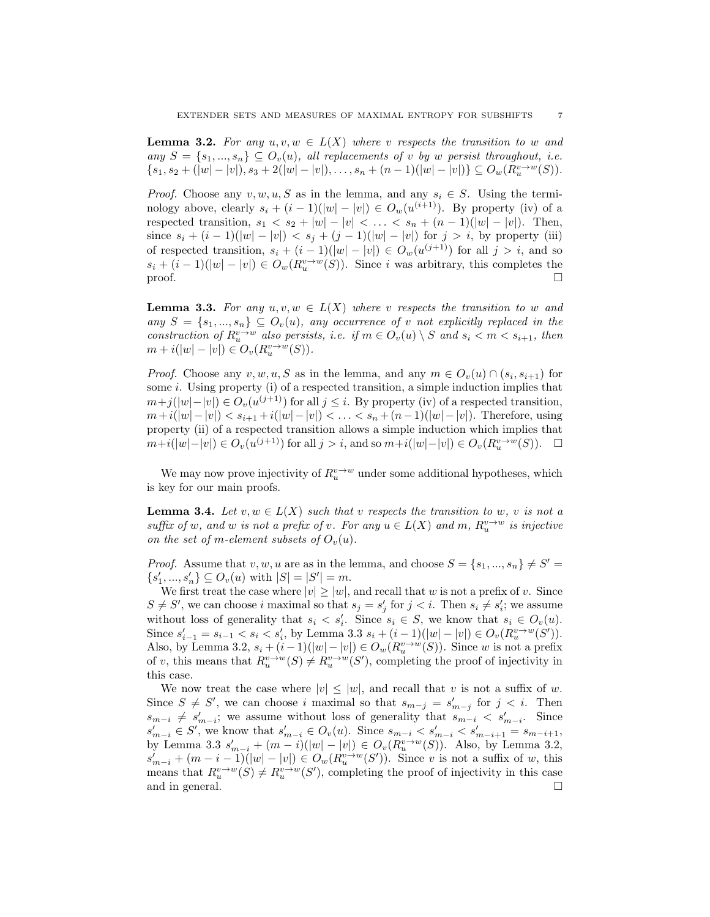**Lemma 3.2.** For any  $u, v, w \in L(X)$  where v respects the transition to w and any  $S = \{s_1, ..., s_n\} \subseteq O_v(u)$ , all replacements of v by w persist throughout, i.e.  $\{s_1, s_2 + (|w| - |v|), s_3 + 2(|w| - |v|), \ldots, s_n + (n-1)(|w| - |v|)\} \subseteq O_w(R_u^{v \to w}(S)).$ 

*Proof.* Choose any  $v, w, u, S$  as in the lemma, and any  $s_i \in S$ . Using the terminology above, clearly  $s_i + (i-1)(|w| - |v|) \in O_w(u^{(i+1)})$ . By property (iv) of a respected transition,  $s_1 < s_2 + |w| - |v| < \ldots < s_n + (n-1)(|w| - |v|)$ . Then, since  $s_i + (i - 1)(|w| - |v|) < s_j + (j - 1)(|w| - |v|)$  for  $j > i$ , by property (iii) of respected transition,  $s_i + (i - 1)(|w| - |v|) \in O_w(u^{(j+1)})$  for all  $j > i$ , and so  $s_i + (i-1)(|w| - |v|) \in O_w(R_u^{v \to w}(S))$ . Since i was arbitrary, this completes the  $\Box$ 

**Lemma 3.3.** For any  $u, v, w \in L(X)$  where v respects the transition to w and any  $S = \{s_1, ..., s_n\} \subseteq O_v(u)$ , any occurrence of v not explicitly replaced in the construction of  $R_u^{v\to w}$  also persists, i.e. if  $m \in O_v(u) \setminus S$  and  $s_i < m < s_{i+1}$ , then  $m + i(|w| - |v|) \in O_v(R_u^{v \to w}(S)).$ 

*Proof.* Choose any  $v, w, u, S$  as in the lemma, and any  $m \in O_v(u) \cap (s_i, s_{i+1})$  for some  $i$ . Using property (i) of a respected transition, a simple induction implies that  $m+j(|w|-|v|) \in O_v(u^{(j+1)})$  for all  $j \leq i$ . By property (iv) of a respected transition,  $m+i(|w|-|v|) < s_{i+1}+i(|w|-|v|) < \ldots < s_n+(n-1)(|w|-|v|)$ . Therefore, using property (ii) of a respected transition allows a simple induction which implies that  $m+i(|w|-|v|) \in O_v(u^{(j+1)})$  for all  $j > i$ , and so  $m+i(|w|-|v|) \in O_v(R_u^{v\to w}(S))$ . □

We may now prove injectivity of  $R_u^{v\to w}$  under some additional hypotheses, which is key for our main proofs.

**Lemma 3.4.** Let  $v, w \in L(X)$  such that v respects the transition to w, v is not a suffix of w, and w is not a prefix of v. For any  $u \in L(X)$  and  $m$ ,  $R_u^{v\rightarrow w}$  is injective on the set of m-element subsets of  $O_n(u)$ .

*Proof.* Assume that  $v, w, u$  are as in the lemma, and choose  $S = \{s_1, ..., s_n\} \neq S'$  $\{s'_1, ..., s'_n\} \subseteq O_v(u)$  with  $|S| = |S'| = m$ .

We first treat the case where  $|v| \ge |w|$ , and recall that w is not a prefix of v. Since  $S \neq S'$ , we can choose i maximal so that  $s_j = s'_j$  for  $j < i$ . Then  $s_i \neq s'_i$ ; we assume without loss of generality that  $s_i < s'_i$ . Since  $s_i \in S$ , we know that  $s_i \in O_v(u)$ . Since  $s'_{i-1} = s_{i-1} < s_i < s'_{i}$ , by Lemma 3.3  $s_i + (i - 1)(|w| - |v|) \in O_v(R_u^{v \to w}(S'))$ . Also, by Lemma 3.2,  $s_i + (i-1)(|w| - |v|) \in O_w(R_u^{v \to w}(S))$ . Since w is not a prefix of v, this means that  $R_u^{v\to w}(S) \neq R_u^{v\to w}(S')$ , completing the proof of injectivity in this case.

We now treat the case where  $|v| \leq |w|$ , and recall that v is not a suffix of w. Since  $S \neq S'$ , we can choose i maximal so that  $s_{m-j} = s'_{m-j}$  for  $j < i$ . Then  $s_{m-i} \neq s'_{m-i}$ ; we assume without loss of generality that  $s_{m-i} < s'_{m-i}$ . Since  $s'_{m-i} \in S'$ , we know that  $s'_{m-i} \in O_v(u)$ . Since  $s_{m-i} < s'_{m-i} < s'_{m-i+1} = s_{m-i+1}$ , by Lemma 3.3  $s'_{m-i} + (m-i)(|w| - |v|) \in O_v(R_u^{v \to w}(S))$ . Also, by Lemma 3.2,  $s'_{m-i} + (m-i-1)(|w| - |v|) \in O_w(R_u^{v \to w}(S'))$ . Since v is not a suffix of w, this means that  $R_u^{v\to w}(S) \neq R_u^{v\to w}(S')$ , completing the proof of injectivity in this case and in general.  $\Box$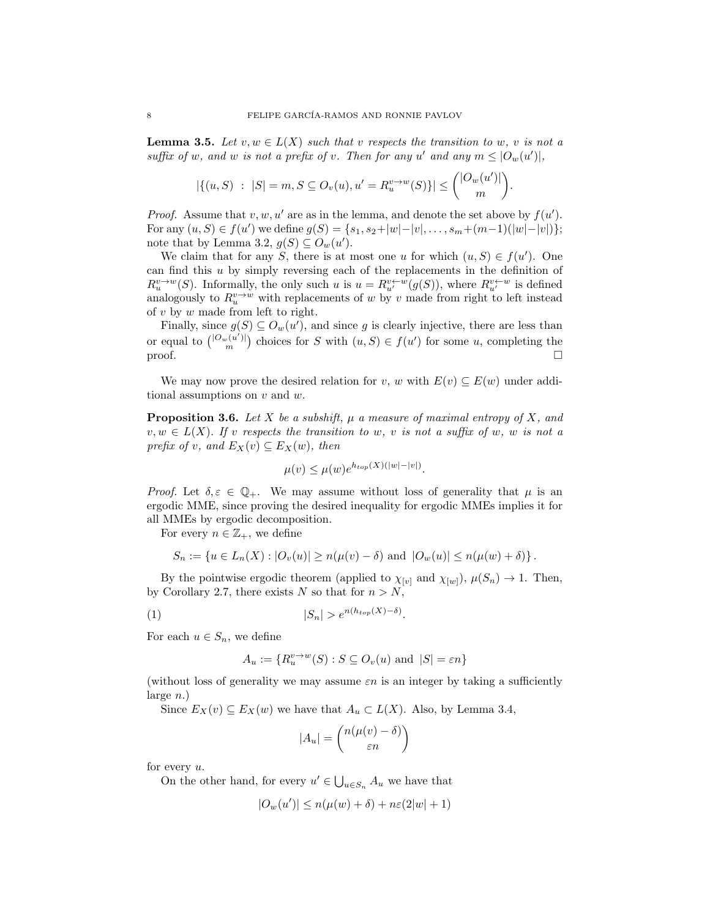**Lemma 3.5.** Let  $v, w \in L(X)$  such that v respects the transition to w, v is not a suffix of w, and w is not a prefix of v. Then for any u' and any  $m \leq |O_w(u')|$ ,

$$
|\{(u, S) : |S| = m, S \subseteq O_v(u), u' = R_u^{v \to w}(S)\}| \leq {\binom{|O_w(u')|}{m}}.
$$

*Proof.* Assume that  $v, w, u'$  are as in the lemma, and denote the set above by  $f(u')$ . For any  $(u, S) \in f(u')$  we define  $g(S) = \{s_1, s_2+|w|-|v|, \ldots, s_m+(m-1)(|w|-|v|)\};$ note that by Lemma 3.2,  $g(S) \subseteq O_w(u')$ .

We claim that for any S, there is at most one u for which  $(u, S) \in f(u')$ . One can find this u by simply reversing each of the replacements in the definition of  $R_u^{v\to w}(S)$ . Informally, the only such u is  $u = R_{u'}^{v\leftarrow w}(g(S))$ , where  $R_{u'}^{v\leftarrow w}$  is defined analogously to  $R_u^{v \to w}$  with replacements of w by v made from right to left instead of  $v$  by  $w$  made from left to right.

Finally, since  $g(S) \subseteq O_w(u')$ , and since g is clearly injective, there are less than or equal to  $\binom{|O_w(u')|}{m}$  choices for S with  $(u, S) \in f(u')$  for some u, completing the proof.  $\Box$ 

We may now prove the desired relation for v, w with  $E(v) \subseteq E(w)$  under additional assumptions on  $v$  and  $w$ .

**Proposition 3.6.** Let X be a subshift,  $\mu$  a measure of maximal entropy of X, and  $v, w \in L(X)$ . If v respects the transition to w, v is not a suffix of w, w is not a prefix of v, and  $E_X(v) \subseteq E_X(w)$ , then

$$
\mu(v) \le \mu(w) e^{h_{top}(X)(|w|-|v|)}.
$$

Proof. Let  $\delta, \varepsilon \in \mathbb{Q}_+$ . We may assume without loss of generality that  $\mu$  is an ergodic MME, since proving the desired inequality for ergodic MMEs implies it for all MMEs by ergodic decomposition.

For every  $n \in \mathbb{Z}_+$ , we define

$$
S_n := \{ u \in L_n(X) : |O_v(u)| \ge n(\mu(v) - \delta) \text{ and } |O_w(u)| \le n(\mu(w) + \delta) \}.
$$

By the pointwise ergodic theorem (applied to  $\chi_{[v]}$  and  $\chi_{[w]}$ ),  $\mu(S_n) \to 1$ . Then, by Corollary 2.7, there exists N so that for  $n > N$ ,

$$
|S_n| > e^{n(h_{top}(X) - \delta)}.
$$

For each  $u \in S_n$ , we define

$$
A_u := \{ R_u^{v \to w}(S) : S \subseteq O_v(u) \text{ and } |S| = \varepsilon n \}
$$

(without loss of generality we may assume  $\varepsilon n$  is an integer by taking a sufficiently large  $n.$ )

Since  $E_X(v) \subseteq E_X(w)$  we have that  $A_u \subset L(X)$ . Also, by Lemma 3.4,

$$
|A_u| = \binom{n(\mu(v) - \delta)}{\varepsilon n}
$$

for every  $u$ .

On the other hand, for every  $u' \in \bigcup_{u \in S_n} A_u$  we have that

$$
|O_w(u')| \le n(\mu(w) + \delta) + n\varepsilon(2|w| + 1)
$$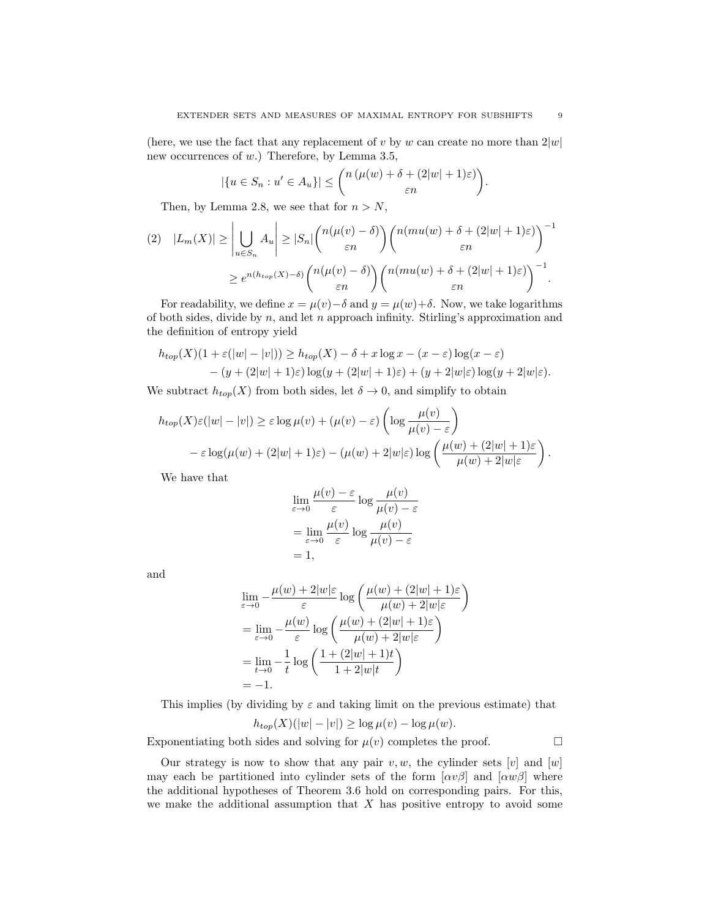(here, we use the fact that any replacement of v by w can create no more than  $2|w|$ ) new occurrences of w.) Therefore, by Lemma 3.5,

$$
|\{u \in S_n : u' \in A_u\}| \le \binom{n(\mu(w) + \delta + (2|w| + 1)\varepsilon)}{\varepsilon n}
$$

Then, by Lemma 2.8, we see that for  $n > N$ ,

$$
(2) \quad |L_m(X)| \geq \left| \bigcup_{u \in S_n} A_u \right| \geq |S_n| \binom{n(\mu(v) - \delta)}{\varepsilon n} \binom{n(mu(w) + \delta + (2|w| + 1)\varepsilon)}{\varepsilon n}^{-1}
$$

$$
\geq e^{n(h_{top}(X) - \delta)} \binom{n(\mu(v) - \delta)}{\varepsilon n} \binom{n(mu(w) + \delta + (2|w| + 1)\varepsilon)}{\varepsilon n}^{-1}.
$$

For readability, we define  $x = \mu(v) - \delta$  and  $y = \mu(w) + \delta$ . Now, we take logarithms of both sides, divide by  $n$ , and let  $n$  approach infinity. Stirling's approximation and the definition of entropy yield

$$
h_{top}(X)(1+\varepsilon(|w|-|v|)) \ge h_{top}(X) - \delta + x \log x - (x-\varepsilon) \log(x-\varepsilon)
$$
  
 
$$
- (y+(2|w|+1)\varepsilon) \log(y+(2|w|+1)\varepsilon) + (y+2|w|\varepsilon) \log(y+2|w|\varepsilon).
$$

We subtract  $h_{top}(X)$  from both sides, let  $\delta \to 0$ , and simplify to obtain

$$
h_{top}(X)\varepsilon(|w|-|v|) \ge \varepsilon \log \mu(v) + (\mu(v) - \varepsilon) \left( \log \frac{\mu(v)}{\mu(v) - \varepsilon} \right)
$$

$$
- \varepsilon \log(\mu(w) + (2|w|+1)\varepsilon) - (\mu(w) + 2|w|\varepsilon) \log \left( \frac{\mu(w) + (2|w|+1)\varepsilon}{\mu(w) + 2|w|\varepsilon} \right).
$$

We have that

$$
\lim_{\varepsilon \to 0} \frac{\mu(v) - \varepsilon}{\varepsilon} \log \frac{\mu(v)}{\mu(v) - \varepsilon}
$$
\n
$$
= \lim_{\varepsilon \to 0} \frac{\mu(v)}{\varepsilon} \log \frac{\mu(v)}{\mu(v) - \varepsilon}
$$
\n
$$
= 1,
$$

and

$$
\lim_{\varepsilon \to 0} -\frac{\mu(w) + 2|w|\varepsilon}{\varepsilon} \log \left( \frac{\mu(w) + (2|w| + 1)\varepsilon}{\mu(w) + 2|w|\varepsilon} \right)
$$
\n
$$
= \lim_{\varepsilon \to 0} -\frac{\mu(w)}{\varepsilon} \log \left( \frac{\mu(w) + (2|w| + 1)\varepsilon}{\mu(w) + 2|w|\varepsilon} \right)
$$
\n
$$
= \lim_{t \to 0} -\frac{1}{t} \log \left( \frac{1 + (2|w| + 1)t}{1 + 2|w|t} \right)
$$
\n
$$
= -1.
$$

This implies (by dividing by  $\varepsilon$  and taking limit on the previous estimate) that

$$
h_{top}(X)(|w|-|v|) \ge \log \mu(v) - \log \mu(w).
$$

Exponentiating both sides and solving for  $\mu(v)$  completes the proof.

Our strategy is now to show that any pair  $v, w$ , the cylinder sets  $[v]$  and  $[w]$ may each be partitioned into cylinder sets of the form  $[\alpha v \beta]$  and  $[\alpha w \beta]$  where the additional hypotheses of Theorem 3.6 hold on corresponding pairs. For this, we make the additional assumption that  $X$  has positive entropy to avoid some

.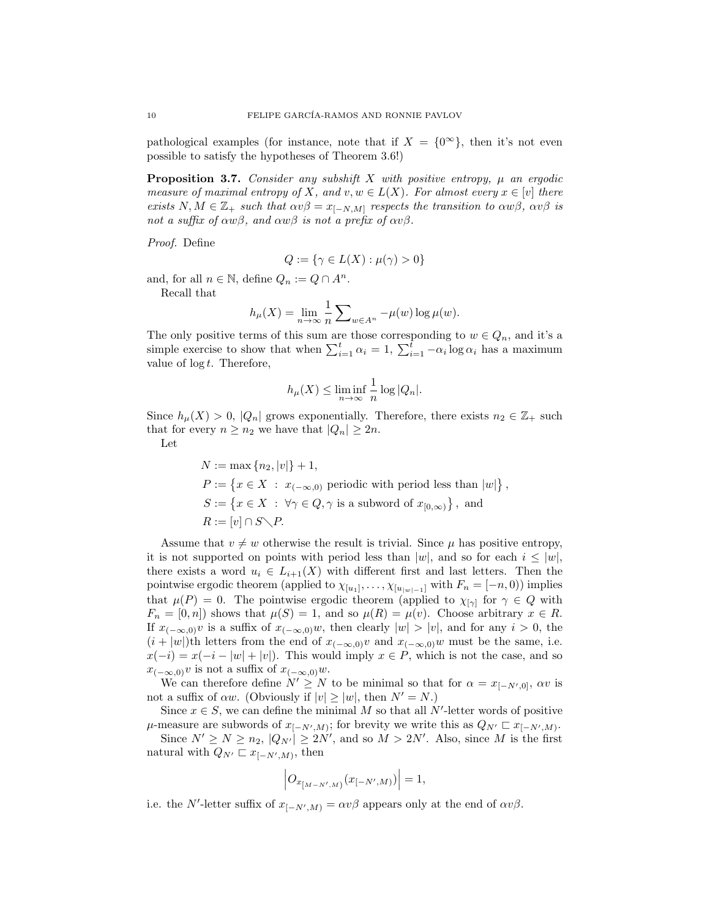pathological examples (for instance, note that if  $X = \{0^{\infty}\}\,$ , then it's not even possible to satisfy the hypotheses of Theorem 3.6!)

**Proposition 3.7.** Consider any subshift X with positive entropy,  $\mu$  an ergodic measure of maximal entropy of X, and v,  $w \in L(X)$ . For almost every  $x \in [v]$  there exists  $N, M \in \mathbb{Z}_+$  such that  $\alpha v\beta = x_{[-N,M]}$  respects the transition to  $\alpha w\beta$ ,  $\alpha v\beta$  is not a suffix of  $\alpha w\beta$ , and  $\alpha w\beta$  is not a prefix of  $\alpha v\beta$ .

Proof. Define

$$
Q:=\{\gamma\in L(X): \mu(\gamma)>0\}
$$

and, for all  $n \in \mathbb{N}$ , define  $Q_n := Q \cap A^n$ .

Recall that

$$
h_{\mu}(X) = \lim_{n \to \infty} \frac{1}{n} \sum_{w \in A^n} -\mu(w) \log \mu(w).
$$

The only positive terms of this sum are those corresponding to  $w \in Q_n$ , and it's a simple exercise to show that when  $\sum_{i=1}^{t} \alpha_i = 1$ ,  $\sum_{i=1}^{t} -\alpha_i \log \alpha_i$  has a maximum value of  $\log t$ . Therefore,

$$
h_{\mu}(X) \le \liminf_{n \to \infty} \frac{1}{n} \log |Q_n|.
$$

Since  $h_\mu(X) > 0$ ,  $|Q_n|$  grows exponentially. Therefore, there exists  $n_2 \in \mathbb{Z}_+$  such that for every  $n \geq n_2$  we have that  $|Q_n| \geq 2n$ .

Let

 $N := \max\{n_2, |v|\} + 1,$  $P := \{x \in X : x_{(-\infty,0)} \text{ periodic with period less than } |w|\},\$  $S := \{x \in X : \forall \gamma \in Q, \gamma \text{ is a subword of } x_{[0,\infty)}\}, \text{ and}$  $R := [v] \cap S \diagdown P.$ 

Assume that  $v \neq w$  otherwise the result is trivial. Since  $\mu$  has positive entropy, it is not supported on points with period less than  $|w|$ , and so for each  $i \leq |w|$ , there exists a word  $u_i \in L_{i+1}(X)$  with different first and last letters. Then the pointwise ergodic theorem (applied to  $\chi_{[u_1]}, \ldots, \chi_{[u_{|w|-1}]}$  with  $F_n = [-n, 0)$ ) implies that  $\mu(P) = 0$ . The pointwise ergodic theorem (applied to  $\chi_{[\gamma]}$  for  $\gamma \in Q$  with  $F_n = [0, n]$  shows that  $\mu(S) = 1$ , and so  $\mu(R) = \mu(v)$ . Choose arbitrary  $x \in R$ . If  $x_{(-\infty,0)}v$  is a suffix of  $x_{(-\infty,0)}w$ , then clearly  $|w| > |v|$ , and for any  $i > 0$ , the  $(i + |w|)$ th letters from the end of  $x_{(-\infty,0)}v$  and  $x_{(-\infty,0)}w$  must be the same, i.e.  $x(-i) = x(-i - |w| + |v|)$ . This would imply  $x \in P$ , which is not the case, and so  $x_{(-\infty,0)}v$  is not a suffix of  $x_{(-\infty,0)}w$ .

We can therefore define  $N' \geq N$  to be minimal so that for  $\alpha = x_{[-N',0]}, \alpha v$  is not a suffix of  $\alpha w$ . (Obviously if  $|v| \ge |w|$ , then  $N' = N$ .)

Since  $x \in S$ , we can define the minimal M so that all N'-letter words of positive  $\mu$ -measure are subwords of  $x_{[-N',M)}$ ; for brevity we write this as  $Q_{N'} \sqsubset x_{[-N',M)}$ .

Since  $N' \ge N \ge n_2$ ,  $|Q_{N'}| \ge 2N'$ , and so  $M > 2N'$ . Also, since M is the first natural with  $Q_{N'} \sqsubset x_{[-N',M)}$ , then

$$
\left|O_{x_{[M-N',M)}}(x_{[-N',M)})\right|=1,
$$

i.e. the N'-letter suffix of  $x_{[-N',M)} = \alpha v \beta$  appears only at the end of  $\alpha v \beta$ .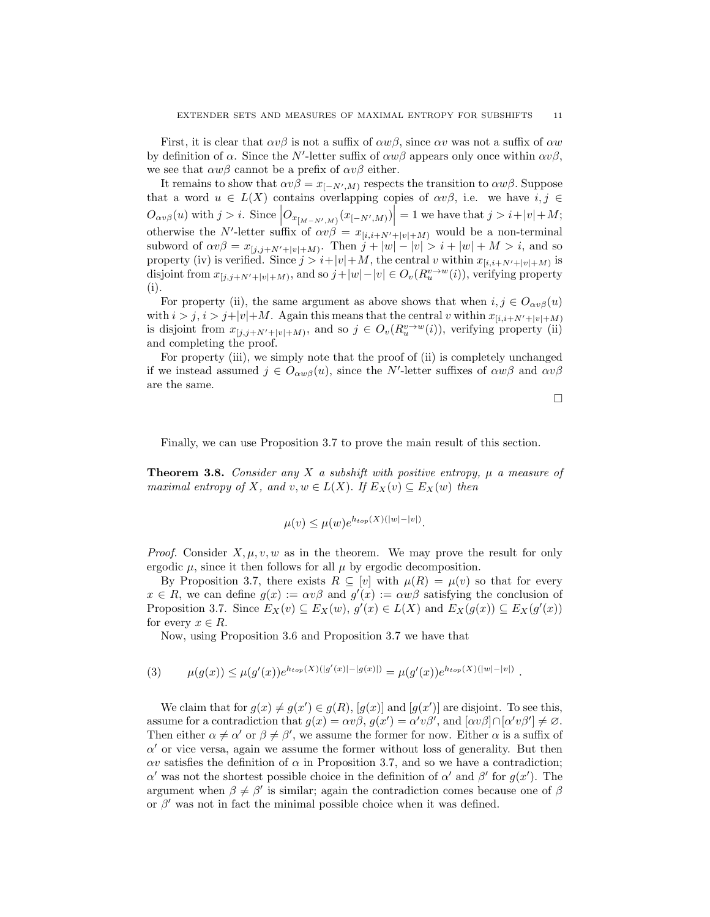First, it is clear that  $\alpha v \beta$  is not a suffix of  $\alpha w \beta$ , since  $\alpha v$  was not a suffix of  $\alpha w$ by definition of  $\alpha$ . Since the N'-letter suffix of  $\alpha w\beta$  appears only once within  $\alpha v\beta$ , we see that  $\alpha w\beta$  cannot be a prefix of  $\alpha v\beta$  either.

It remains to show that  $\alpha v\beta = x_{[-N',M)}$  respects the transition to  $\alpha w\beta$ . Suppose that a word  $u \in L(X)$  contains overlapping copies of  $\alpha v\beta$ , i.e. we have  $i, j \in$  $O_{\alpha v\beta}(u)$  with  $j>i$ . Since  $\left|O_{x_{\lfloor M-N',M\rfloor}}(x_{[-N',M)})\right|=1$  we have that  $j>i+|v|+M;$ otherwise the N'-letter suffix of  $\alpha v\beta = x_{[i,i+N'+|v|+M)}$  would be a non-terminal subword of  $\alpha v\beta = x_{[j,j+N'+|v|+M)}$ . Then  $j+|w|-|v| > i+|w|+M > i$ , and so property (iv) is verified. Since  $j > i+|v|+M$ , the central v within  $x_{[i,i+N'+|v|+M)}$  is disjoint from  $x_{[j,j+N'+|v|+M)}$ , and so  $j+|w|-|v| \in O_v(R_u^{v\to w}(i))$ , verifying property (i).

For property (ii), the same argument as above shows that when  $i, j \in O_{\alpha v}(\alpha)$ with  $i > j$ ,  $i > j+|v|+M$ . Again this means that the central v within  $x_{[i,i+N'+|v|+M)}$ is disjoint from  $x_{[j,j+N'+|v|+M)}$ , and so  $j \in O_v(R_u^{v\to w}(i))$ , verifying property (ii) and completing the proof.

For property (iii), we simply note that the proof of (ii) is completely unchanged if we instead assumed  $j \in O_{\alpha w\beta}(u)$ , since the N'-letter suffixes of  $\alpha w\beta$  and  $\alpha v\beta$ are the same.

 $\Box$ 

Finally, we can use Proposition 3.7 to prove the main result of this section.

**Theorem 3.8.** Consider any X a subshift with positive entropy,  $\mu$  a measure of maximal entropy of X, and  $v, w \in L(X)$ . If  $E_X(v) \subseteq E_X(w)$  then

$$
\mu(v) \le \mu(w) e^{h_{top}(X)(|w|-|v|)}.
$$

*Proof.* Consider  $X, \mu, v, w$  as in the theorem. We may prove the result for only ergodic  $\mu$ , since it then follows for all  $\mu$  by ergodic decomposition.

By Proposition 3.7, there exists  $R \subseteq [v]$  with  $\mu(R) = \mu(v)$  so that for every  $x \in R$ , we can define  $g(x) := \alpha v \beta$  and  $g'(x) := \alpha w \beta$  satisfying the conclusion of Proposition 3.7. Since  $E_X(v) \subseteq E_X(w)$ ,  $g'(x) \in L(X)$  and  $E_X(g(x)) \subseteq E_X(g'(x))$ for every  $x \in R$ .

Now, using Proposition 3.6 and Proposition 3.7 we have that

$$
(3) \qquad \mu(g(x)) \le \mu(g'(x))e^{h_{top}(X)(|g'(x)|-|g(x)|)} = \mu(g'(x))e^{h_{top}(X)(|w|-|v|)}.
$$

We claim that for  $g(x) \neq g(x') \in g(R)$ ,  $[g(x)]$  and  $[g(x')]$  are disjoint. To see this, assume for a contradiction that  $g(x) = \alpha v \beta$ ,  $g(x') = \alpha' v \beta'$ , and  $[\alpha v \beta] \cap [\alpha' v \beta'] \neq \emptyset$ . Then either  $\alpha \neq \alpha'$  or  $\beta \neq \beta'$ , we assume the former for now. Either  $\alpha$  is a suffix of  $\alpha'$  or vice versa, again we assume the former without loss of generality. But then  $\alpha v$  satisfies the definition of  $\alpha$  in Proposition 3.7, and so we have a contradiction; α' was not the shortest possible choice in the definition of α' and β' for  $g(x')$ . The argument when  $\beta \neq \beta'$  is similar; again the contradiction comes because one of  $\beta$ or  $\beta'$  was not in fact the minimal possible choice when it was defined.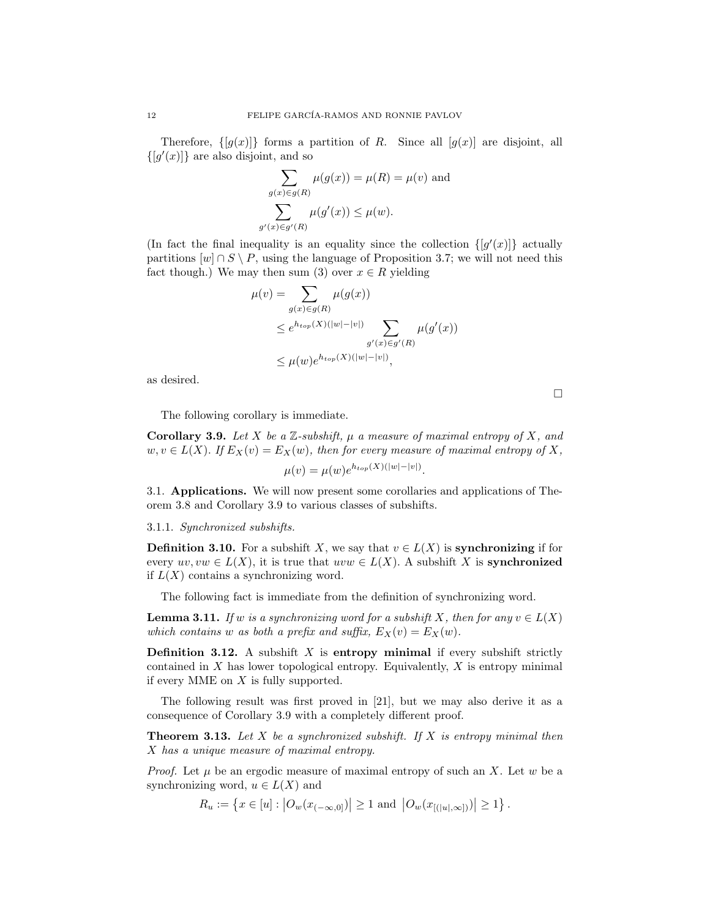Therefore,  $\{[g(x)]\}$  forms a partition of R. Since all  $[g(x)]$  are disjoint, all  $\{[g'(x)]\}$  are also disjoint, and so

$$
\sum_{g(x)\in g(R)} \mu(g(x)) = \mu(R) = \mu(v)
$$
 and  

$$
\sum_{\substack{y(x)\in g'(R) \\ \text{and } y(x)\leq \mu(w)}} \mu(g'(x)) \leq \mu(w).
$$

(In fact the final inequality is an equality since the collection  $\{[g'(x)]\}$  actually partitions  $[w] \cap S \setminus P$ , using the language of Proposition 3.7; we will not need this fact though.) We may then sum (3) over  $x \in R$  yielding

$$
\mu(v) = \sum_{g(x)\in g(R)} \mu(g(x))
$$
  
\n
$$
\leq e^{h_{top}(X)(|w|-|v|)} \sum_{g'(x)\in g'(R)} \mu(g'(x))
$$
  
\n
$$
\leq \mu(w)e^{h_{top}(X)(|w|-|v|)},
$$

as desired.

The following corollary is immediate.

 $g^{\prime}$ 

**Corollary 3.9.** Let X be a  $\mathbb{Z}$ -subshift,  $\mu$  a measure of maximal entropy of X, and  $w, v \in L(X)$ . If  $E_X(v) = E_X(w)$ , then for every measure of maximal entropy of X,  $\mu(v) = \mu(w)e^{h_{top}(X)(|w|-|v|)}.$ 

3.1. Applications. We will now present some corollaries and applications of Theorem 3.8 and Corollary 3.9 to various classes of subshifts.

# 3.1.1. Synchronized subshifts.

**Definition 3.10.** For a subshift X, we say that  $v \in L(X)$  is **synchronizing** if for every  $uv, vw \in L(X)$ , it is true that  $uvw \in L(X)$ . A subshift X is **synchronized** if  $L(X)$  contains a synchronizing word.

The following fact is immediate from the definition of synchronizing word.

**Lemma 3.11.** If w is a synchronizing word for a subshift X, then for any  $v \in L(X)$ which contains w as both a prefix and suffix,  $E_X(v) = E_X(w)$ .

**Definition 3.12.** A subshift  $X$  is entropy minimal if every subshift strictly contained in  $X$  has lower topological entropy. Equivalently,  $X$  is entropy minimal if every MME on  $X$  is fully supported.

The following result was first proved in [21], but we may also derive it as a consequence of Corollary 3.9 with a completely different proof.

**Theorem 3.13.** Let  $X$  be a synchronized subshift. If  $X$  is entropy minimal then X has a unique measure of maximal entropy.

*Proof.* Let  $\mu$  be an ergodic measure of maximal entropy of such an X. Let w be a synchronizing word,  $u \in L(X)$  and

$$
R_u := \left\{ x \in [u] : \left| O_w(x_{(-\infty,0]}) \right| \ge 1 \text{ and } \left| O_w(x_{[([u],\infty])}) \right| \ge 1 \right\}.
$$

 $\Box$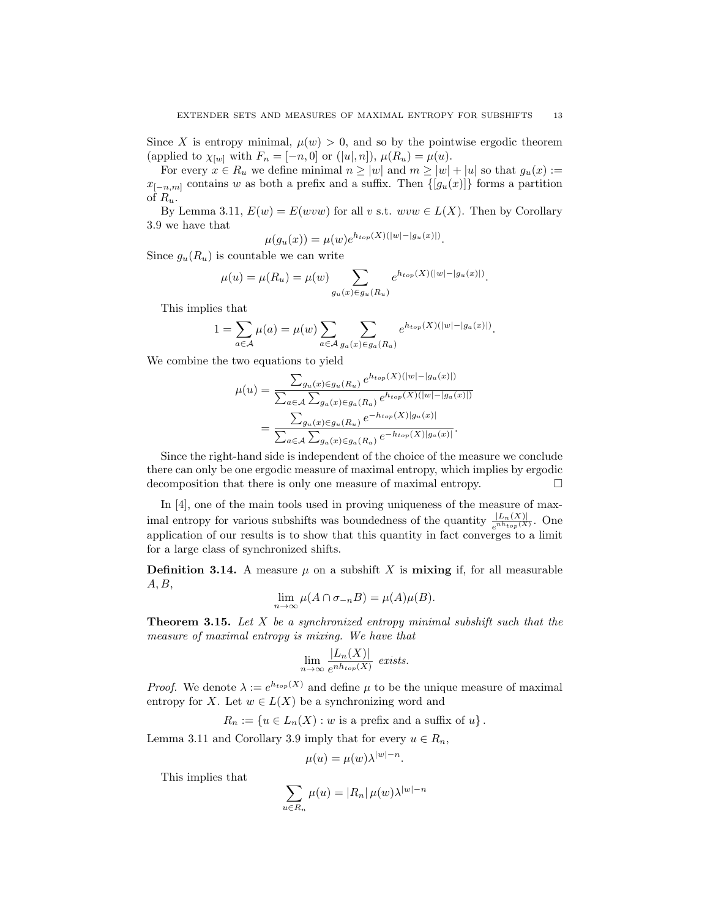Since X is entropy minimal,  $\mu(w) > 0$ , and so by the pointwise ergodic theorem (applied to  $\chi_{[w]}$  with  $F_n = [-n, 0]$  or  $([u], n]$ ),  $\mu(R_u) = \mu(u)$ .

For every  $x \in R_u$  we define minimal  $n \geq |w|$  and  $m \geq |w| + |u|$  so that  $g_u(x) :=$  $x_{[-n,m]}$  contains w as both a prefix and a suffix. Then  $\{[g_u(x)]\}$  forms a partition of  $R_u$ .

By Lemma 3.11,  $E(w) = E(wvw)$  for all v s.t.  $wvw \in L(X)$ . Then by Corollary 3.9 we have that

$$
\mu(g_u(x)) = \mu(w)e^{h_{top}(X)(|w|-|g_u(x)|)}.
$$

Since  $g_u(R_u)$  is countable we can write

$$
\mu(u) = \mu(R_u) = \mu(w) \sum_{g_u(x) \in g_u(R_u)} e^{h_{top}(X)(|w| - |g_u(x)|)}.
$$

This implies that

$$
1 = \sum_{a \in \mathcal{A}} \mu(a) = \mu(w) \sum_{a \in \mathcal{A}} \sum_{g_a(x) \in g_a(R_a)} e^{h_{top}(X)(|w| - |g_a(x)|)}.
$$

We combine the two equations to yield

$$
\mu(u) = \frac{\sum_{g_u(x) \in g_u(R_u)} e^{h_{top}(X)(|w| - |g_u(x)|)}}{\sum_{a \in A} \sum_{g_a(x) \in g_a(R_a)} e^{h_{top}(X)(|w| - |g_a(x)|)}}
$$

$$
= \frac{\sum_{g_u(x) \in g_u(R_u)} e^{-h_{top}(X)|g_u(x)|}}{\sum_{a \in A} \sum_{g_a(x) \in g_a(R_a)} e^{-h_{top}(X)|g_a(x)|}}.
$$

Since the right-hand side is independent of the choice of the measure we conclude there can only be one ergodic measure of maximal entropy, which implies by ergodic decomposition that there is only one measure of maximal entropy.

In [4], one of the main tools used in proving uniqueness of the measure of maximal entropy for various subshifts was boundedness of the quantity  $\frac{|L_n(X)|}{e^{nh_{top}(X)}}$ . One application of our results is to show that this quantity in fact converges to a limit for a large class of synchronized shifts.

**Definition 3.14.** A measure  $\mu$  on a subshift X is mixing if, for all measurable  $A, B,$ 

$$
\lim_{n \to \infty} \mu(A \cap \sigma_{-n}B) = \mu(A)\mu(B).
$$

**Theorem 3.15.** Let  $X$  be a synchronized entropy minimal subshift such that the measure of maximal entropy is mixing. We have that

$$
\lim_{n \to \infty} \frac{|L_n(X)|}{e^{nh_{top}(X)}} \text{ exists.}
$$

*Proof.* We denote  $\lambda := e^{h_{top}(X)}$  and define  $\mu$  to be the unique measure of maximal entropy for X. Let  $w \in L(X)$  be a synchronizing word and

 $R_n := \{u \in L_n(X) : w$  is a prefix and a suffix of  $u\}.$ 

Lemma 3.11 and Corollary 3.9 imply that for every  $u \in R_n$ ,

$$
\mu(u) = \mu(w)\lambda^{|w|-n}.
$$

This implies that

$$
\sum_{u \in R_n} \mu(u) = |R_n| \mu(w) \lambda^{|w|-n}
$$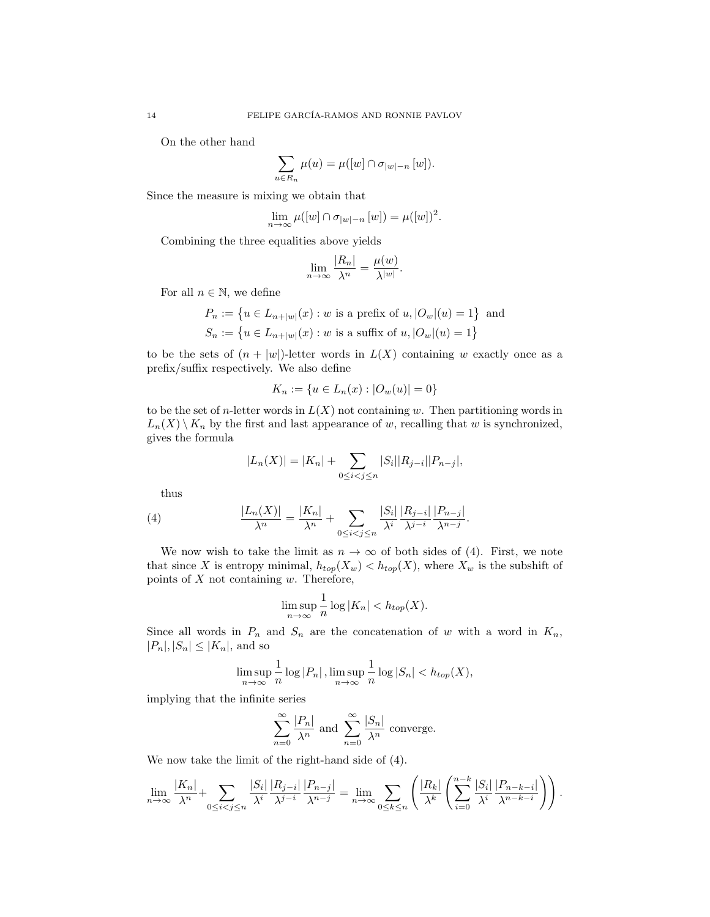On the other hand

$$
\sum_{u \in R_n} \mu(u) = \mu([w] \cap \sigma_{|w|-n} [w]).
$$

Since the measure is mixing we obtain that

$$
\lim_{n \to \infty} \mu([w] \cap \sigma_{|w|-n} [w]) = \mu([w])^2.
$$

Combining the three equalities above yields

$$
\lim_{n \to \infty} \frac{|R_n|}{\lambda^n} = \frac{\mu(w)}{\lambda^{|w|}}.
$$

For all  $n \in \mathbb{N}$ , we define

$$
P_n := \{ u \in L_{n+|w|}(x) : w \text{ is a prefix of } u, |O_w|(u) = 1 \}
$$
 and  

$$
S_n := \{ u \in L_{n+|w|}(x) : w \text{ is a suffix of } u, |O_w|(u) = 1 \}
$$

to be the sets of  $(n + |w|)$ -letter words in  $L(X)$  containing w exactly once as a prefix/suffix respectively. We also define

$$
K_n := \{ u \in L_n(x) : |O_w(u)| = 0 \}
$$

to be the set of *n*-letter words in  $L(X)$  not containing w. Then partitioning words in  $L_n(X) \setminus K_n$  by the first and last appearance of w, recalling that w is synchronized, gives the formula

$$
|L_n(X)| = |K_n| + \sum_{0 \le i < j \le n} |S_i| |R_{j-i}| |P_{n-j}|,
$$

thus

(4) 
$$
\frac{|L_n(X)|}{\lambda^n} = \frac{|K_n|}{\lambda^n} + \sum_{0 \le i < j \le n} \frac{|S_i|}{\lambda^i} \frac{|R_{j-i}|}{\lambda^{j-i}} \frac{|P_{n-j}|}{\lambda^{n-j}}.
$$

We now wish to take the limit as  $n \to \infty$  of both sides of (4). First, we note that since X is entropy minimal,  $h_{top}(X_w) < h_{top}(X)$ , where  $X_w$  is the subshift of points of  $X$  not containing  $w$ . Therefore,

$$
\limsup_{n \to \infty} \frac{1}{n} \log |K_n| < h_{top}(X).
$$

Since all words in  $P_n$  and  $S_n$  are the concatenation of w with a word in  $K_n$ ,  $|P_n|, |S_n| \leq |K_n|$ , and so

$$
\limsup_{n \to \infty} \frac{1}{n} \log |P_n|, \limsup_{n \to \infty} \frac{1}{n} \log |S_n| < h_{top}(X),
$$

implying that the infinite series

$$
\sum_{n=0}^{\infty} \frac{|P_n|}{\lambda^n}
$$
 and 
$$
\sum_{n=0}^{\infty} \frac{|S_n|}{\lambda^n}
$$
 converge.

We now take the limit of the right-hand side of (4).

$$
\lim_{n\to\infty}\frac{|K_n|}{\lambda^n}+\sum_{0\leq i
$$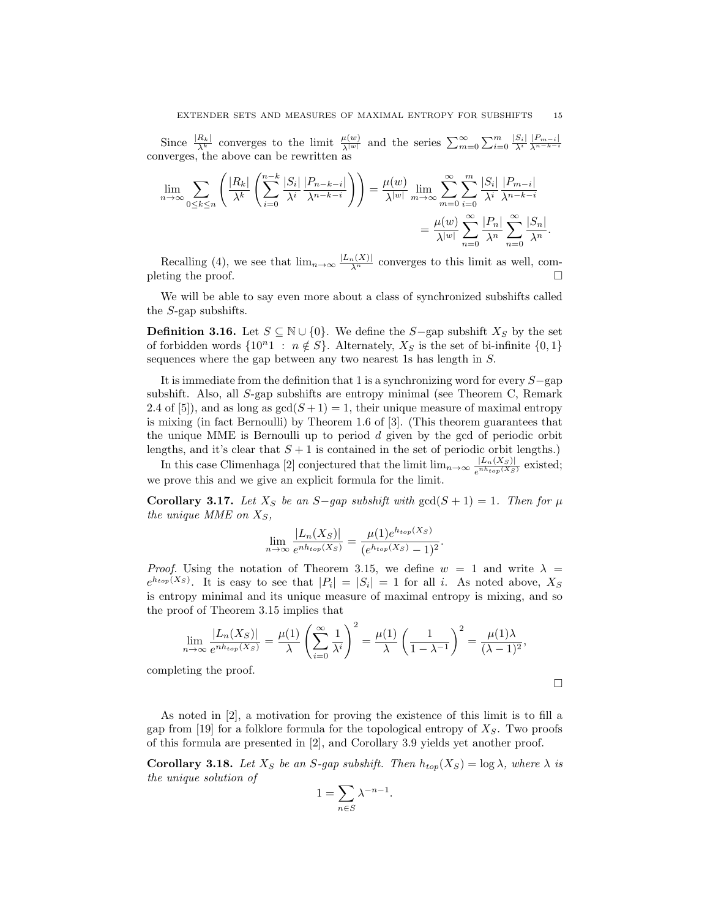Since  $\frac{|R_k|}{\lambda^k}$  converges to the limit  $\frac{\mu(w)}{\lambda^{|w|}}$  and the series  $\sum_{m=0}^{\infty} \sum_{i=0}^{m} \frac{|S_i|}{\lambda^i} \frac{|P_{m-i}|}{\lambda^{n-k-i}}$ converges, the above can be rewritten as

$$
\lim_{n \to \infty} \sum_{0 \le k \le n} \left( \frac{|R_k|}{\lambda^k} \left( \sum_{i=0}^{n-k} \frac{|S_i|}{\lambda^i} \frac{|P_{n-k-i}|}{\lambda^{n-k-i}} \right) \right) = \frac{\mu(w)}{\lambda^{|w|}} \lim_{m \to \infty} \sum_{m=0}^{\infty} \sum_{i=0}^{m} \frac{|S_i|}{\lambda^i} \frac{|P_{m-i}|}{\lambda^{n-k-i}} = \frac{\mu(w)}{\lambda^{|w|}} \sum_{n=0}^{\infty} \frac{|P_n|}{\lambda^n} \sum_{n=0}^{\infty} \frac{|S_n|}{\lambda^n}.
$$

Recalling (4), we see that  $\lim_{n\to\infty} \frac{|L_n(X)|}{\lambda^n}$  converges to this limit as well, completing the proof.  $\Box$ 

We will be able to say even more about a class of synchronized subshifts called the S-gap subshifts.

**Definition 3.16.** Let  $S \subseteq \mathbb{N} \cup \{0\}$ . We define the S−gap subshift  $X_S$  by the set of forbidden words  $\{10^n1 : n \notin S\}$ . Alternately,  $X_S$  is the set of bi-infinite  $\{0,1\}$ sequences where the gap between any two nearest 1s has length in S.

It is immediate from the definition that 1 is a synchronizing word for every S−gap subshift. Also, all S-gap subshifts are entropy minimal (see Theorem C, Remark 2.4 of [5]), and as long as  $gcd(S + 1) = 1$ , their unique measure of maximal entropy is mixing (in fact Bernoulli) by Theorem 1.6 of [3]. (This theorem guarantees that the unique MME is Bernoulli up to period  $d$  given by the gcd of periodic orbit lengths, and it's clear that  $S + 1$  is contained in the set of periodic orbit lengths.)

In this case Climenhaga [2] conjectured that the limit  $\lim_{n\to\infty} \frac{|L_n(X_S)|}{e^{nh_{top}(X_S)}}$  $\frac{|L_n(X_S)|}{e^{nh_{top}(X_S)}}$  existed; we prove this and we give an explicit formula for the limit.

Corollary 3.17. Let  $X_S$  be an S-gap subshift with  $gcd(S + 1) = 1$ . Then for  $\mu$ the unique MME on  $X_S$ ,

$$
\lim_{n \to \infty} \frac{|L_n(X_S)|}{e^{nh_{top}(X_S)}} = \frac{\mu(1)e^{h_{top}(X_S)}}{(e^{h_{top}(X_S)} - 1)^2}.
$$

*Proof.* Using the notation of Theorem 3.15, we define  $w = 1$  and write  $\lambda =$  $e^{h_{top}(X_S)}$ . It is easy to see that  $|P_i| = |S_i| = 1$  for all i. As noted above,  $X_S$ is entropy minimal and its unique measure of maximal entropy is mixing, and so the proof of Theorem 3.15 implies that

$$
\lim_{n \to \infty} \frac{|L_n(X_S)|}{e^{nh_{top}(X_S)}} = \frac{\mu(1)}{\lambda} \left(\sum_{i=0}^{\infty} \frac{1}{\lambda^i}\right)^2 = \frac{\mu(1)}{\lambda} \left(\frac{1}{1 - \lambda^{-1}}\right)^2 = \frac{\mu(1)\lambda}{(\lambda - 1)^2},
$$

completing the proof.

 $\Box$ 

As noted in [2], a motivation for proving the existence of this limit is to fill a gap from [19] for a folklore formula for the topological entropy of  $X<sub>S</sub>$ . Two proofs of this formula are presented in [2], and Corollary 3.9 yields yet another proof.

**Corollary 3.18.** Let  $X_S$  be an S-gap subshift. Then  $h_{top}(X_S) = \log \lambda$ , where  $\lambda$  is the unique solution of

$$
1 = \sum_{n \in S} \lambda^{-n-1}.
$$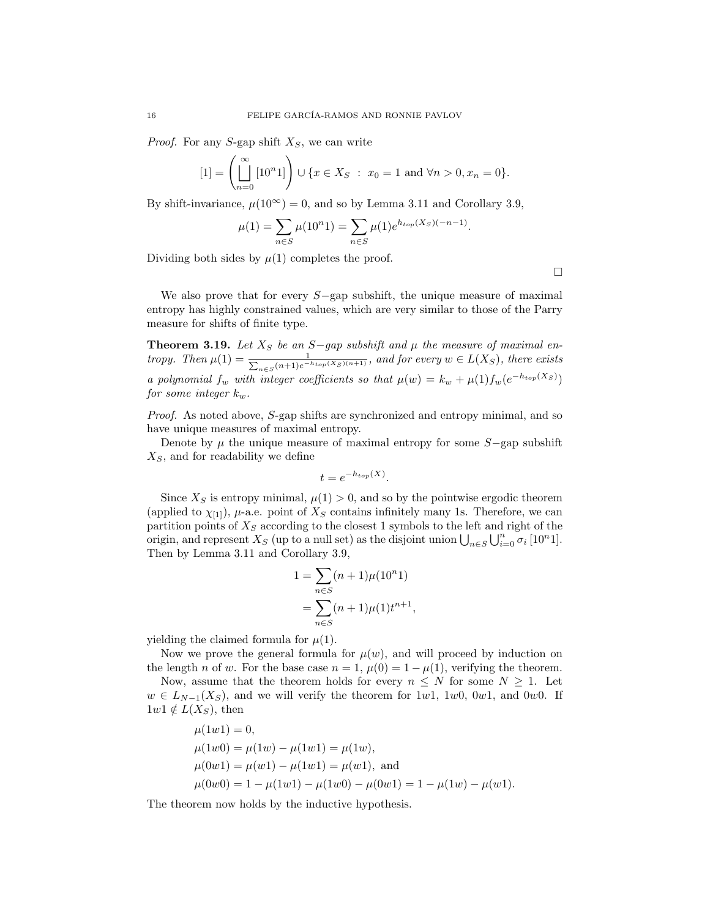*Proof.* For any S-gap shift  $X<sub>S</sub>$ , we can write

$$
[1] = \left(\prod_{n=0}^{\infty} [10^n 1] \right) \cup \{x \in X_S : x_0 = 1 \text{ and } \forall n > 0, x_n = 0\}.
$$

By shift-invariance,  $\mu(10^{\infty}) = 0$ , and so by Lemma 3.11 and Corollary 3.9,

$$
\mu(1) = \sum_{n \in S} \mu(10^n 1) = \sum_{n \in S} \mu(1)e^{h_{top}(X_S)(-n-1)}.
$$

Dividing both sides by  $\mu(1)$  completes the proof.

 $\Box$ 

We also prove that for every  $S$ −gap subshift, the unique measure of maximal entropy has highly constrained values, which are very similar to those of the Parry measure for shifts of finite type.

**Theorem 3.19.** Let  $X_S$  be an S-gap subshift and  $\mu$  the measure of maximal entropy. Then  $\mu(1) = \frac{1}{\sum_{n \in S} (n+1)e^{-n}}$  $\frac{1}{n\in S}(n+1)e^{-h_{top}(X_S)(n+1)}$ , and for every  $w\in L(X_S)$ , there exists a polynomial  $f_w$  with integer coefficients so that  $\mu(w) = k_w + \mu(1) f_w(e^{-h_{top}(X_S)})$ for some integer  $k_w$ .

Proof. As noted above, S-gap shifts are synchronized and entropy minimal, and so have unique measures of maximal entropy.

Denote by  $\mu$  the unique measure of maximal entropy for some  $S$ −gap subshift  $X<sub>S</sub>$ , and for readability we define

$$
t = e^{-h_{top}(X)}.
$$

Since  $X<sub>S</sub>$  is entropy minimal,  $\mu(1) > 0$ , and so by the pointwise ergodic theorem (applied to  $\chi_{[1]}$ ),  $\mu$ -a.e. point of  $X_S$  contains infinitely many 1s. Therefore, we can partition points of  $X_S$  according to the closest 1 symbols to the left and right of the origin, and represent  $X_S$  (up to a null set) as the disjoint union  $\bigcup_{n\in S}\bigcup_{i=0}^n\sigma_i$  [10<sup>n</sup>1]. Then by Lemma 3.11 and Corollary 3.9,

$$
1 = \sum_{n \in S} (n+1)\mu(10^n 1)
$$
  
= 
$$
\sum_{n \in S} (n+1)\mu(1)t^{n+1},
$$

yielding the claimed formula for  $\mu(1)$ .

Now we prove the general formula for  $\mu(w)$ , and will proceed by induction on the length n of w. For the base case  $n = 1$ ,  $\mu(0) = 1 - \mu(1)$ , verifying the theorem.

Now, assume that the theorem holds for every  $n \leq N$  for some  $N \geq 1$ . Let  $w \in L_{N-1}(X_S)$ , and we will verify the theorem for 1w1, 1w0, 0w1, and 0w0. If  $1w1 \notin L(X_S)$ , then

$$
\mu(1w1) = 0,
$$
  
\n
$$
\mu(1w0) = \mu(1w) - \mu(1w1) = \mu(1w),
$$
  
\n
$$
\mu(0w1) = \mu(w1) - \mu(1w1) = \mu(w1),
$$
 and  
\n
$$
\mu(0w0) = 1 - \mu(1w1) - \mu(1w0) - \mu(0w1) = 1 - \mu(1w) - \mu(w1).
$$

The theorem now holds by the inductive hypothesis.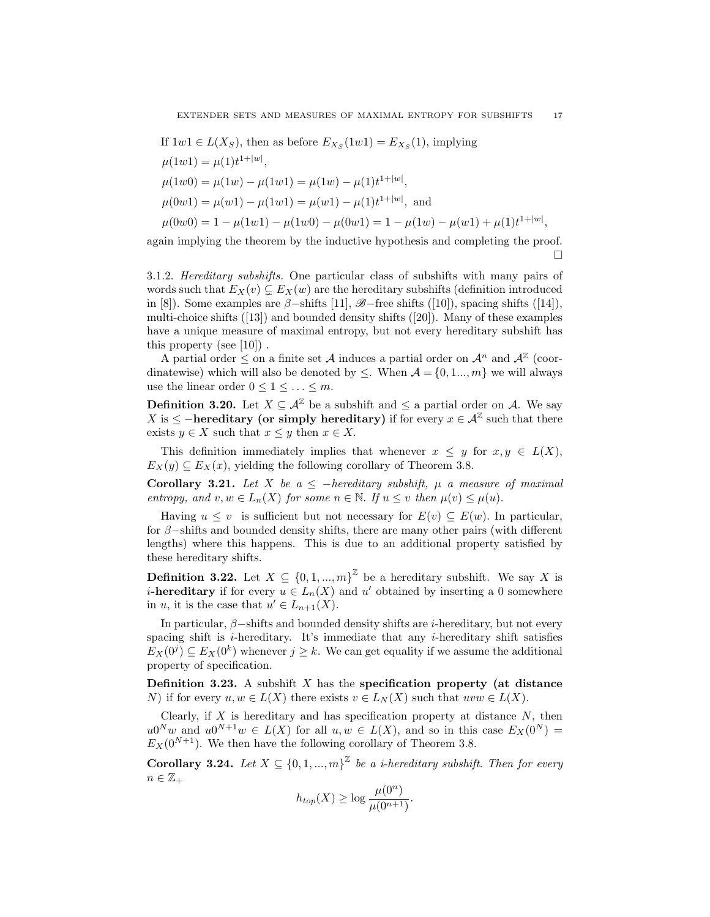If 
$$
1w1 \in L(X_S)
$$
, then as before  $E_{X_S}(1w1) = E_{X_S}(1)$ , implying  
\n
$$
\mu(1w1) = \mu(1)t^{1+|w|},
$$
\n
$$
\mu(1w0) = \mu(1w) - \mu(1w1) = \mu(1w) - \mu(1)t^{1+|w|},
$$
\n
$$
\mu(0w1) = \mu(w1) - \mu(1w1) = \mu(w1) - \mu(1)t^{1+|w|},
$$
and  
\n
$$
\mu(0w0) = 1 - \mu(1w1) - \mu(1w0) - \mu(0w1) = 1 - \mu(1w) - \mu(w1) + \mu(1)t^{1+|w|},
$$

again implying the theorem by the inductive hypothesis and completing the proof.  $\Box$ 

3.1.2. Hereditary subshifts. One particular class of subshifts with many pairs of words such that  $E_X(v) \subsetneq E_X(w)$  are the hereditary subshifts (definition introduced in [8]). Some examples are  $\beta$ -shifts [11],  $\mathscr{B}$ -free shifts ([10]), spacing shifts ([14]), multi-choice shifts ([13]) and bounded density shifts ([20]). Many of these examples have a unique measure of maximal entropy, but not every hereditary subshift has this property (see [10]) .

A partial order  $\leq$  on a finite set A induces a partial order on  $\mathcal{A}^n$  and  $\mathcal{A}^{\mathbb{Z}}$  (coordinatewise) which will also be denoted by  $\leq$ . When  $A = \{0, 1, ..., m\}$  we will always use the linear order  $0 \leq 1 \leq \ldots \leq m$ .

**Definition 3.20.** Let  $X \subseteq \mathcal{A}^{\mathbb{Z}}$  be a subshift and  $\leq$  a partial order on A. We say X is  $\leq$  -hereditary (or simply hereditary) if for every  $x \in \mathcal{A}^{\mathbb{Z}}$  such that there exists  $y \in X$  such that  $x \leq y$  then  $x \in X$ .

This definition immediately implies that whenever  $x \leq y$  for  $x, y \in L(X)$ ,  $E_X(y) \subseteq E_X(x)$ , yielding the following corollary of Theorem 3.8.

Corollary 3.21. Let X be a  $\leq$  -hereditary subshift,  $\mu$  a measure of maximal entropy, and  $v, w \in L_n(X)$  for some  $n \in \mathbb{N}$ . If  $u \leq v$  then  $\mu(v) \leq \mu(u)$ .

Having  $u \leq v$  is sufficient but not necessary for  $E(v) \subseteq E(w)$ . In particular, for  $\beta$ –shifts and bounded density shifts, there are many other pairs (with different lengths) where this happens. This is due to an additional property satisfied by these hereditary shifts.

**Definition 3.22.** Let  $X \subseteq \{0, 1, ..., m\}^{\mathbb{Z}}$  be a hereditary subshift. We say X is *i*-hereditary if for every  $u \in L_n(X)$  and u' obtained by inserting a 0 somewhere in u, it is the case that  $u' \in L_{n+1}(X)$ .

In particular,  $\beta$ –shifts and bounded density shifts are *i*-hereditary, but not every spacing shift is  $i$ -hereditary. It's immediate that any  $i$ -hereditary shift satisfies  $E_X(0^j) \subseteq E_X(0^k)$  whenever  $j \geq k$ . We can get equality if we assume the additional property of specification.

**Definition 3.23.** A subshift  $X$  has the specification property (at distance N) if for every  $u, w \in L(X)$  there exists  $v \in L_N(X)$  such that  $uvw \in L(X)$ .

Clearly, if  $X$  is hereditary and has specification property at distance  $N$ , then  $u0^N w$  and  $u0^{N+1}w \in L(X)$  for all  $u, w \in L(X)$ , and so in this case  $E_X(0^N) =$  $E_X(0^{N+1})$ . We then have the following corollary of Theorem 3.8.

**Corollary 3.24.** Let  $X \subseteq \{0, 1, ..., m\}^{\mathbb{Z}}$  be a *i*-hereditary subshift. Then for every  $n \in \mathbb{Z}_+$ 

$$
h_{top}(X) \ge \log \frac{\mu(0^n)}{\mu(0^{n+1})}.
$$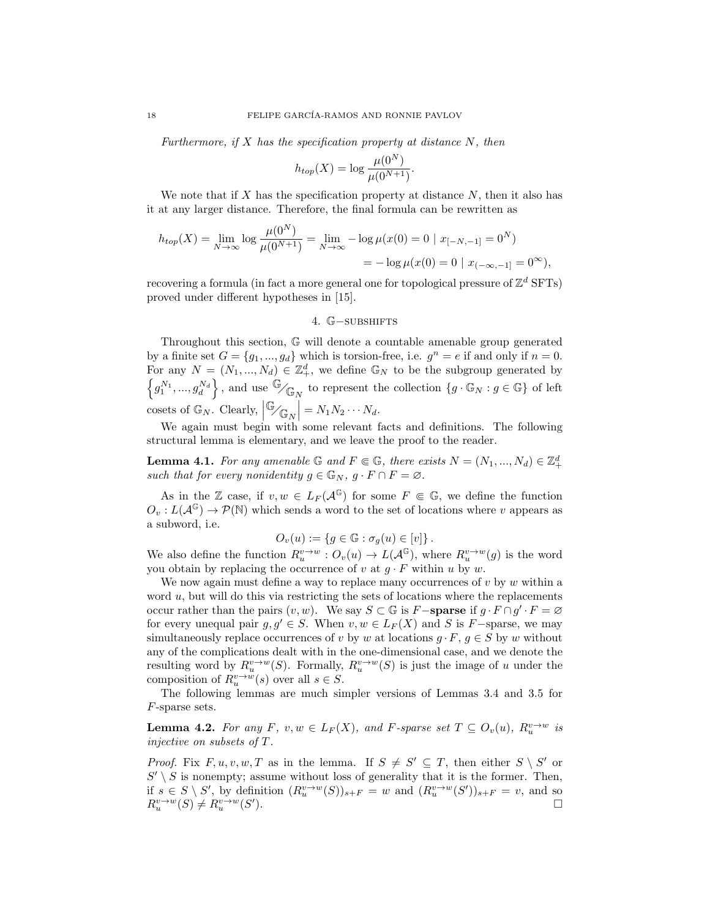Furthermore, if  $X$  has the specification property at distance  $N$ , then

$$
h_{top}(X) = \log \frac{\mu(0^N)}{\mu(0^{N+1})}.
$$

We note that if X has the specification property at distance  $N$ , then it also has it at any larger distance. Therefore, the final formula can be rewritten as

$$
h_{top}(X) = \lim_{N \to \infty} \log \frac{\mu(0^N)}{\mu(0^{N+1})} = \lim_{N \to \infty} -\log \mu(x(0) = 0 \mid x_{[-N, -1]} = 0^N)
$$
  
=  $-\log \mu(x(0) = 0 \mid x_{[-\infty, -1]} = 0^{\infty}),$ 

recovering a formula (in fact a more general one for topological pressure of  $\mathbb{Z}^d$  SFTs) proved under different hypotheses in [15].

## 4. G-subshifts

Throughout this section, G will denote a countable amenable group generated by a finite set  $G = \{g_1, ..., g_d\}$  which is torsion-free, i.e.  $g^n = e$  if and only if  $n = 0$ . For any  $N = (N_1, ..., N_d) \in \mathbb{Z}_+^d$ , we define  $\mathbb{G}_N$  to be the subgroup generated by  $\left\{g^{N_1},...,g^{N_d}_d\right\}$ , and use  $\overline{\mathbb{G}}_{\bigwedge_{\mathbb{G}_N}}$  to represent the collection  $\{g\cdot \mathbb{G}_N : g\in\mathbb{G}\}$  of left cosets of  $\mathbb{G}_N$ . Clearly,  $\left|\frac{\mathbb{G}}{\mathbb{G}_N}\right| = N_1 N_2 \cdots N_d$ .

We again must begin with some relevant facts and definitions. The following structural lemma is elementary, and we leave the proof to the reader.

**Lemma 4.1.** For any amenable  $\mathbb G$  and  $F \in \mathbb G$ , there exists  $N = (N_1, ..., N_d) \in \mathbb Z_+^d$ such that for every nonidentity  $g \in \mathbb{G}_N$ ,  $g \cdot F \cap F = \emptyset$ .

As in the Z case, if  $v, w \in L_F(\mathcal{A}^{\mathbb{G}})$  for some  $F \in \mathbb{G}$ , we define the function  $O_v: L(\mathcal{A}^{\mathbb{G}}) \to \mathcal{P}(\mathbb{N})$  which sends a word to the set of locations where v appears as a subword, i.e.

$$
O_v(u) := \{ g \in \mathbb{G} : \sigma_g(u) \in [v] \}.
$$

We also define the function  $R_u^{v \to w} : O_v(u) \to L(\mathcal{A}^{\mathbb{G}})$ , where  $R_u^{v \to w}(g)$  is the word you obtain by replacing the occurrence of v at  $g \cdot F$  within u by w.

We now again must define a way to replace many occurrences of  $v$  by  $w$  within a word u, but will do this via restricting the sets of locations where the replacements occur rather than the pairs  $(v, w)$ . We say  $S \subset \mathbb{G}$  is F-sparse if  $g \cdot F \cap g' \cdot F = \varnothing$ for every unequal pair  $g, g' \in S$ . When  $v, w \in L_F(X)$  and S is F-sparse, we may simultaneously replace occurrences of v by w at locations  $q \cdot F$ ,  $q \in S$  by w without any of the complications dealt with in the one-dimensional case, and we denote the resulting word by  $R_u^{v\to w}(S)$ . Formally,  $R_u^{v\to w}(S)$  is just the image of u under the composition of  $R_u^{v \to w}(s)$  over all  $s \in S$ .

The following lemmas are much simpler versions of Lemmas 3.4 and 3.5 for F-sparse sets.

**Lemma 4.2.** For any F,  $v, w \in L_F(X)$ , and F-sparse set  $T \subseteq O_v(u)$ ,  $R_u^{v \to w}$  is injective on subsets of T.

*Proof.* Fix  $F, u, v, w, T$  as in the lemma. If  $S \neq S' \subseteq T$ , then either  $S \setminus S'$  or  $S' \setminus S$  is nonempty; assume without loss of generality that it is the former. Then, if  $s \in S \setminus S'$ , by definition  $(R_u^{v \to w}(S))_{s+F} = w$  and  $(R_u^{v \to w}(S'))_{s+F} = v$ , and so  $R_u^{v\to w}(S) \neq R_u^{v\to w}(S')$ ).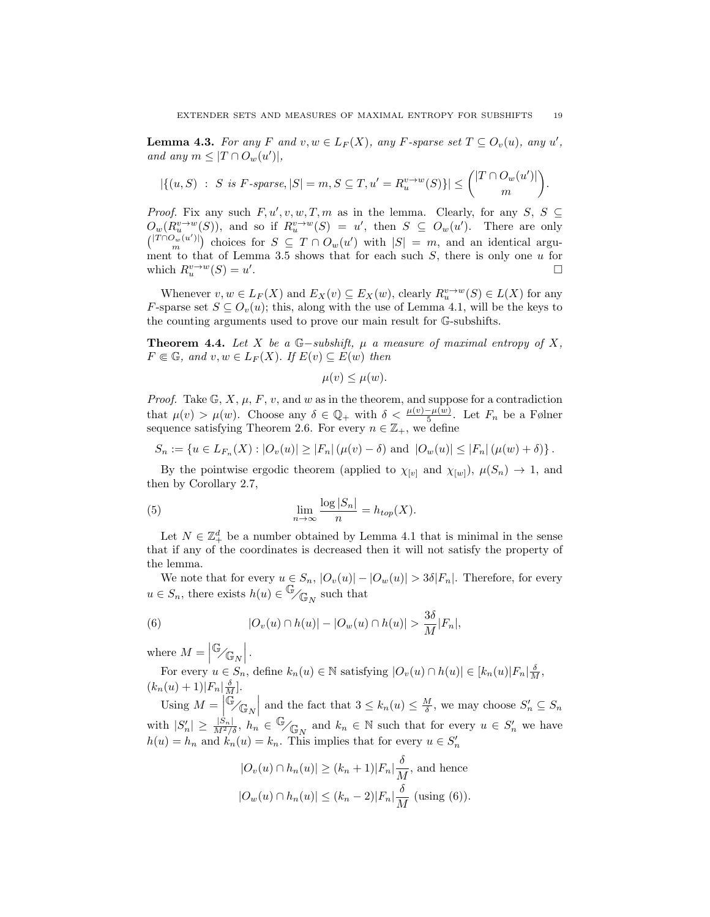**Lemma 4.3.** For any F and  $v, w \in L_F(X)$ , any F-sparse set  $T \subseteq O_v(u)$ , any u', and any  $m \leq |T \cap O_w(u')|$ ,

$$
|\{(u, S) : S \text{ is } F\text{-sparse}, |S| = m, S \subseteq T, u' = R_u^{v \to w}(S)\}| \le { |T \cap O_w(u')| \choose m}.
$$

*Proof.* Fix any such  $F, u', v, w, T, m$  as in the lemma. Clearly, for any  $S, S \subseteq$  $O_w(R_u^{v\to w}(S))$ , and so if  $R_u^{v\to w}(S) = u'$ , then  $S \subseteq O_w(u')$ . There are only  $\binom{|T \cap O_w(u')|}{m}$  choices for  $S \subseteq T \cap O_w(u')$  with  $|S| = m$ , and an identical argument to that of Lemma 3.5 shows that for each such  $S$ , there is only one u for which  $R_u^{v\to w}(S) = u'$ . В последните последните последните последните последните последните последните последните последните последн<br>В 1990 година от селото на 1990 година от селото на 1990 година от селото на 1990 година от селото на 1990 год

Whenever  $v, w \in L_F(X)$  and  $E_X(v) \subseteq E_X(w)$ , clearly  $R_u^{v \to w}(S) \in L(X)$  for any F-sparse set  $S \subseteq O_v(u)$ ; this, along with the use of Lemma 4.1, will be the keys to the counting arguments used to prove our main result for G-subshifts.

Theorem 4.4. Let X be a  $\mathbb{G}-subshift$ ,  $\mu$  a measure of maximal entropy of X,  $F \in \mathbb{G}$ , and  $v, w \in L_F (X)$ . If  $E(v) \subseteq E(w)$  then

$$
\mu(v) \leq \mu(w).
$$

*Proof.* Take  $\mathbb{G}, X, \mu, F, v$ , and w as in the theorem, and suppose for a contradiction that  $\mu(v) > \mu(w)$ . Choose any  $\delta \in \mathbb{Q}_+$  with  $\delta < \frac{\mu(v) - \mu(w)}{5}$ . Let  $F_n$  be a Følner sequence satisfying Theorem 2.6. For every  $n \in \mathbb{Z}_+$ , we define

$$
S_n := \{ u \in L_{F_n}(X) : |O_v(u)| \ge |F_n| \left( \mu(v) - \delta \right) \text{ and } |O_w(u)| \le |F_n| \left( \mu(w) + \delta \right) \}.
$$

By the pointwise ergodic theorem (applied to  $\chi_{[v]}$  and  $\chi_{[w]}$ ),  $\mu(S_n) \to 1$ , and then by Corollary 2.7,

(5) 
$$
\lim_{n \to \infty} \frac{\log |S_n|}{n} = h_{top}(X).
$$

Let  $N \in \mathbb{Z}_+^d$  be a number obtained by Lemma 4.1 that is minimal in the sense that if any of the coordinates is decreased then it will not satisfy the property of the lemma.

We note that for every  $u \in S_n$ ,  $|O_v(u)| - |O_w(u)| > 3\delta |F_n|$ . Therefore, for every  $u \in S_n$ , there exists  $h(u) \in \mathbb{G}/\mathbb{G}_N$  such that

(6) 
$$
|O_v(u) \cap h(u)| - |O_w(u) \cap h(u)| > \frac{3\delta}{M}|F_n|,
$$

where  $M = \left| \mathbb{G}_{\mathscr{N}} \right|$ .

For every  $u \in S_n$ , define  $k_n(u) \in \mathbb{N}$  satisfying  $|O_v(u) \cap h(u)| \in [k_n(u)|F_n| \frac{\delta}{M},$  $(k_n(u) + 1)|F_n|\frac{\delta}{M}].$ 

Using  $M = \left| \bigoplus_{n=1}^{\infty} \mathbb{G}_N \right|$  and the fact that  $3 \leq k_n(u) \leq \frac{M}{\delta}$ , we may choose  $S'_n \subseteq S_n$ with  $|S'_n| \ge \frac{|S_n|}{M^2/\delta}$ ,  $h_n \in \mathbb{G}_{\sqrt{\mathbb{G}_N}}$  and  $k_n \in \mathbb{N}$  such that for every  $u \in S'_n$  we have  $h(u) = h_n$  and  $k_n(u) = k_n$ . This implies that for every  $u \in S'_n$ 

$$
|O_v(u) \cap h_n(u)| \ge (k_n + 1)|F_n| \frac{\delta}{M}, \text{ and hence}
$$
  

$$
|O_w(u) \cap h_n(u)| \le (k_n - 2)|F_n| \frac{\delta}{M} \text{ (using (6))}.
$$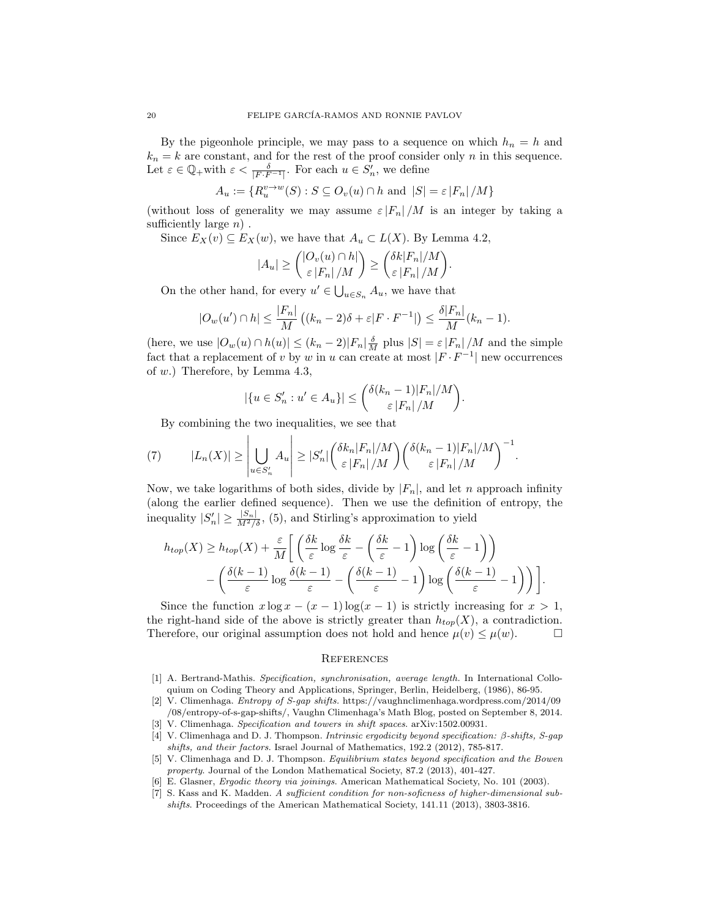By the pigeonhole principle, we may pass to a sequence on which  $h_n = h$  and  $k_n = k$  are constant, and for the rest of the proof consider only n in this sequence. Let  $\varepsilon \in \mathbb{Q}_+$  with  $\varepsilon < \frac{\delta}{|F \cdot F^{-1}|}$ . For each  $u \in S'_n$ , we define

$$
A_u := \{ R_u^{v \to w}(S) : S \subseteq O_v(u) \cap h \text{ and } |S| = \varepsilon |F_n| / M \}
$$

(without loss of generality we may assume  $\varepsilon |F_n|/M$  is an integer by taking a sufficiently large  $n$ .

Since  $E_X(v) \subseteq E_X(w)$ , we have that  $A_u \subset L(X)$ . By Lemma 4.2,

$$
|A_u| \ge \binom{|O_v(u) \cap h|}{\varepsilon |F_n|/M} \ge \binom{\delta k |F_n|/M}{\varepsilon |F_n|/M}.
$$

On the other hand, for every  $u' \in \bigcup_{u \in S_n} A_u$ , we have that

$$
|O_w(u') \cap h| \le \frac{|F_n|}{M} \left( (k_n - 2)\delta + \varepsilon |F \cdot F^{-1}| \right) \le \frac{\delta |F_n|}{M} (k_n - 1).
$$

(here, we use  $|O_w(u) \cap h(u)| \le (k_n - 2)|F_n| \frac{\delta}{M}$  plus  $|S| = \varepsilon |F_n| / M$  and the simple fact that a replacement of v by w in u can create at most  $|F \cdot F^{-1}|$  new occurrences of w.) Therefore, by Lemma 4.3,

$$
|\{u \in S'_n : u' \in A_u\}| \leq {\delta(k_n - 1)|F_n|/M \choose \varepsilon |F_n|/M}.
$$

By combining the two inequalities, we see that

(7) 
$$
|L_n(X)| \geq \left| \bigcup_{u \in S'_n} A_u \right| \geq |S'_n| \left( \frac{\delta k_n |F_n|/M}{\varepsilon |F_n|/M} \right) \left( \frac{\delta (k_n - 1)|F_n|/M}{\varepsilon |F_n|/M} \right)^{-1}.
$$

Now, we take logarithms of both sides, divide by  $|F_n|$ , and let n approach infinity (along the earlier defined sequence). Then we use the definition of entropy, the inequality  $|S'_n| \ge \frac{|S_n|}{M^2/\delta}$ , (5), and Stirling's approximation to yield

$$
h_{top}(X) \geq h_{top}(X) + \frac{\varepsilon}{M} \left[ \left( \frac{\delta k}{\varepsilon} \log \frac{\delta k}{\varepsilon} - \left( \frac{\delta k}{\varepsilon} - 1 \right) \log \left( \frac{\delta k}{\varepsilon} - 1 \right) \right) - \left( \frac{\delta (k-1)}{\varepsilon} \log \frac{\delta (k-1)}{\varepsilon} - \left( \frac{\delta (k-1)}{\varepsilon} - 1 \right) \log \left( \frac{\delta (k-1)}{\varepsilon} - 1 \right) \right) \right].
$$

Since the function  $x \log x - (x - 1) \log(x - 1)$  is strictly increasing for  $x > 1$ , the right-hand side of the above is strictly greater than  $h_{top}(X)$ , a contradiction. Therefore, our original assumption does not hold and hence  $\mu(v) \leq \mu(w)$ .

#### **REFERENCES**

- [1] A. Bertrand-Mathis. Specification, synchronisation, average length. In International Colloquium on Coding Theory and Applications, Springer, Berlin, Heidelberg, (1986), 86-95.
- [2] V. Climenhaga. Entropy of S-gap shifts. https://vaughnclimenhaga.wordpress.com/2014/09 /08/entropy-of-s-gap-shifts/, Vaughn Climenhaga's Math Blog, posted on September 8, 2014.
- [3] V. Climenhaga. Specification and towers in shift spaces. arXiv:1502.00931.
- [4] V. Climenhaga and D. J. Thompson. Intrinsic ergodicity beyond specification: β-shifts, S-gap shifts, and their factors. Israel Journal of Mathematics, 192.2 (2012), 785-817.
- [5] V. Climenhaga and D. J. Thompson. Equilibrium states beyond specification and the Bowen property. Journal of the London Mathematical Society, 87.2 (2013), 401-427.
- [6] E. Glasner, Ergodic theory via joinings. American Mathematical Society, No. 101 (2003).
- [7] S. Kass and K. Madden. A sufficient condition for non-soficness of higher-dimensional subshifts. Proceedings of the American Mathematical Society, 141.11 (2013), 3803-3816.